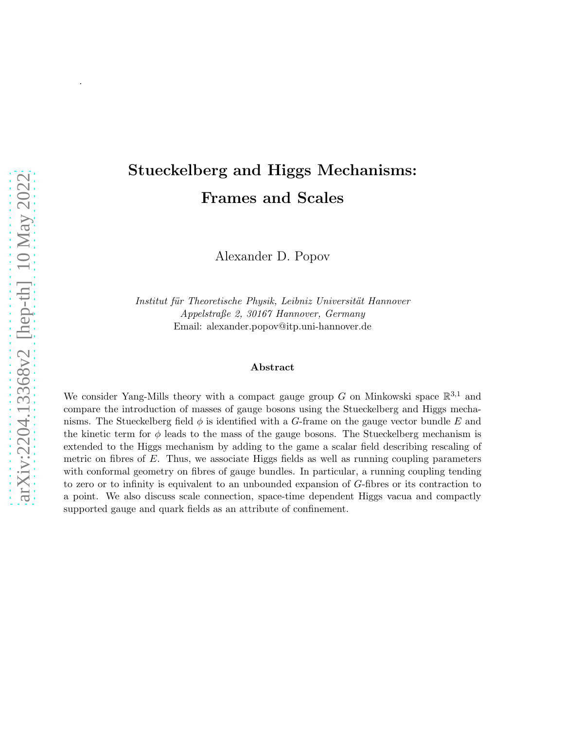# Stueckelberg and Higgs Mechanisms: Frames and Scales

Alexander D. Popov

Institut für Theoretische Physik, Leibniz Universität Hannover Appelstraße 2, 30167 Hannover, Germany Email: alexander.popov@itp.uni-hannover.de

#### Abstract

We consider Yang-Mills theory with a compact gauge group G on Minkowski space  $\mathbb{R}^{3,1}$  and compare the introduction of masses of gauge bosons using the Stueckelberg and Higgs mechanisms. The Stueckelberg field  $\phi$  is identified with a G-frame on the gauge vector bundle E and the kinetic term for  $\phi$  leads to the mass of the gauge bosons. The Stueckelberg mechanism is extended to the Higgs mechanism by adding to the game a scalar field describing rescaling of metric on fibres of  $E$ . Thus, we associate Higgs fields as well as running coupling parameters with conformal geometry on fibres of gauge bundles. In particular, a running coupling tending to zero or to infinity is equivalent to an unbounded expansion of G-fibres or its contraction to a point. We also discuss scale connection, space-time dependent Higgs vacua and compactly supported gauge and quark fields as an attribute of confinement.

.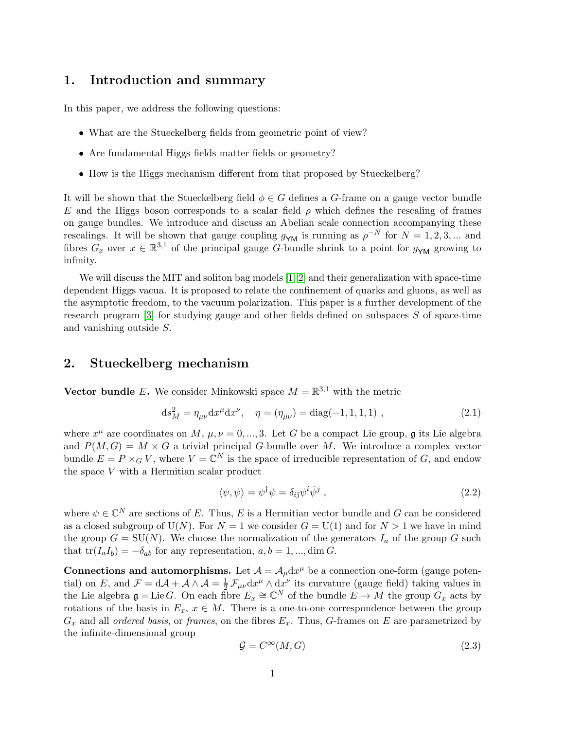#### 1. Introduction and summary

In this paper, we address the following questions:

- What are the Stueckelberg fields from geometric point of view?
- Are fundamental Higgs fields matter fields or geometry?
- How is the Higgs mechanism different from that proposed by Stueckelberg?

It will be shown that the Stueckelberg field  $\phi \in G$  defines a G-frame on a gauge vector bundle E and the Higgs boson corresponds to a scalar field  $\rho$  which defines the rescaling of frames on gauge bundles. We introduce and discuss an Abelian scale connection accompanying these rescalings. It will be shown that gauge coupling  $g_{\gamma M}$  is running as  $\rho^{-N}$  for  $N = 1, 2, 3, ...$  and fibres  $G_x$  over  $x \in \mathbb{R}^{3,1}$  of the principal gauge G-bundle shrink to a point for  $g_{YM}$  growing to infinity.

We will discuss the MIT and soliton bag models [\[1,](#page-21-0) [2\]](#page-21-1) and their generalization with space-time dependent Higgs vacua. It is proposed to relate the confinement of quarks and gluons, as well as the asymptotic freedom, to the vacuum polarization. This paper is a further development of the research program [\[3\]](#page-21-2) for studying gauge and other fields defined on subspaces S of space-time and vanishing outside S.

#### 2. Stueckelberg mechanism

Vector bundle E. We consider Minkowski space  $M = \mathbb{R}^{3,1}$  with the metric

<span id="page-1-1"></span>
$$
ds_M^2 = \eta_{\mu\nu} dx^{\mu} dx^{\nu}, \quad \eta = (\eta_{\mu\nu}) = diag(-1, 1, 1, 1), \qquad (2.1)
$$

where  $x^{\mu}$  are coordinates on M,  $\mu, \nu = 0, ..., 3$ . Let G be a compact Lie group, g its Lie algebra and  $P(M, G) = M \times G$  a trivial principal G-bundle over M. We introduce a complex vector bundle  $E = P \times_G V$ , where  $V = \mathbb{C}^N$  is the space of irreducible representation of G, and endow the space  $V$  with a Hermitian scalar product

<span id="page-1-2"></span>
$$
\langle \psi, \psi \rangle = \psi^{\dagger} \psi = \delta_{i\bar{j}} \psi^i \bar{\psi}^{\bar{j}} \,, \tag{2.2}
$$

where  $\psi \in \mathbb{C}^N$  are sections of E. Thus, E is a Hermitian vector bundle and G can be considered as a closed subgroup of U(N). For  $N = 1$  we consider  $G = U(1)$  and for  $N > 1$  we have in mind the group  $G = SU(N)$ . We choose the normalization of the generators  $I_a$  of the group G such that  $tr(I_aI_b) = -\delta_{ab}$  for any representation,  $a, b = 1, ..., dim G$ .

Connections and automorphisms. Let  $\mathcal{A} = \mathcal{A}_{\mu} dx^{\mu}$  be a connection one-form (gauge potential) on E, and  $\mathcal{F} = d\mathcal{A} + \mathcal{A} \wedge \mathcal{A} = \frac{1}{2} \mathcal{F}_{\mu\nu} dx^{\mu} \wedge dx^{\nu}$  its curvature (gauge field) taking values in the Lie algebra  $\mathfrak{g} = \text{Lie } G$ . On each fibre  $E_x \cong \mathbb{C}^N$  of the bundle  $E \to M$  the group  $G_x$  acts by rotations of the basis in  $E_x$ ,  $x \in M$ . There is a one-to-one correspondence between the group  $G_x$  and all *ordered basis*, or *frames*, on the fibres  $E_x$ . Thus, G-frames on E are parametrized by the infinite-dimensional group

<span id="page-1-0"></span>
$$
\mathcal{G} = C^{\infty}(M, G) \tag{2.3}
$$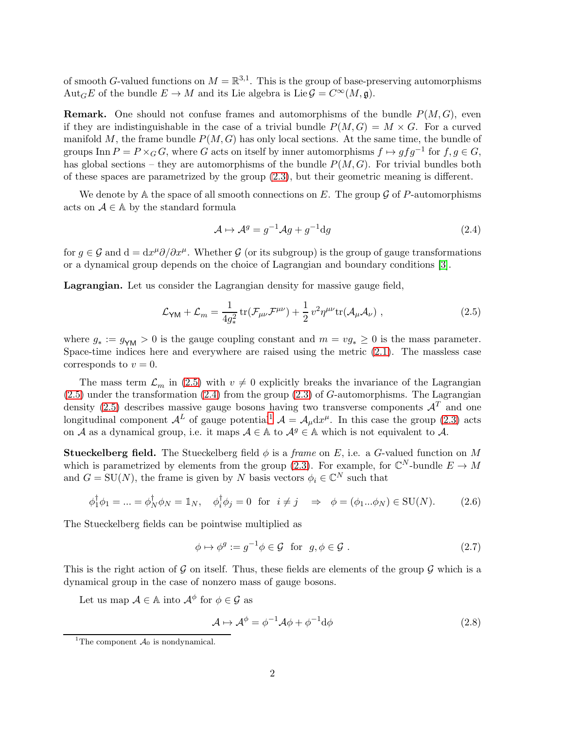of smooth G-valued functions on  $M = \mathbb{R}^{3,1}$ . This is the group of base-preserving automorphisms Aut<sub>G</sub>E of the bundle  $E \to M$  and its Lie algebra is Lie  $\mathcal{G} = C^{\infty}(M, \mathfrak{g})$ .

**Remark.** One should not confuse frames and automorphisms of the bundle  $P(M, G)$ , even if they are indistinguishable in the case of a trivial bundle  $P(M, G) = M \times G$ . For a curved manifold M, the frame bundle  $P(M, G)$  has only local sections. At the same time, the bundle of groups Inn  $P = P \times_G G$ , where G acts on itself by inner automorphisms  $f \mapsto gfg^{-1}$  for  $f, g \in G$ , has global sections – they are automorphisms of the bundle  $P(M, G)$ . For trivial bundles both of these spaces are parametrized by the group [\(2.3\)](#page-1-0), but their geometric meaning is different.

We denote by A the space of all smooth connections on E. The group  $\mathcal G$  of P-automorphisms acts on  $A \in A$  by the standard formula

<span id="page-2-1"></span>
$$
\mathcal{A} \mapsto \mathcal{A}^g = g^{-1} \mathcal{A}g + g^{-1} \mathrm{d}g \tag{2.4}
$$

for  $g \in \mathcal{G}$  and  $d = dx^{\mu}\partial/\partial x^{\mu}$ . Whether  $\mathcal{G}$  (or its subgroup) is the group of gauge transformations or a dynamical group depends on the choice of Lagrangian and boundary conditions [\[3\]](#page-21-2).

Lagrangian. Let us consider the Lagrangian density for massive gauge field,

<span id="page-2-0"></span>
$$
\mathcal{L}_{\mathsf{YM}} + \mathcal{L}_m = \frac{1}{4g_*^2} \operatorname{tr}(\mathcal{F}_{\mu\nu}\mathcal{F}^{\mu\nu}) + \frac{1}{2} v^2 \eta^{\mu\nu} \operatorname{tr}(\mathcal{A}_{\mu}\mathcal{A}_{\nu}) \;, \tag{2.5}
$$

where  $g_* := g_{\gamma M} > 0$  is the gauge coupling constant and  $m = v g_* \geq 0$  is the mass parameter. Space-time indices here and everywhere are raised using the metric [\(2.1\)](#page-1-1). The massless case corresponds to  $v = 0$ .

The mass term  $\mathcal{L}_m$  in [\(2.5\)](#page-2-0) with  $v \neq 0$  explicitly breaks the invariance of the Lagrangian  $(2.5)$  under the transformation  $(2.4)$  from the group  $(2.3)$  of G-automorphisms. The Lagrangian density [\(2.5\)](#page-2-0) describes massive gauge bosons having two transverse components  $\mathcal{A}^T$  and one longitudinal component  $\mathcal{A}^L$  of gauge potential<sup>[1](#page-2-2)</sup>  $\mathcal{A} = \mathcal{A}_{\mu} dx^{\mu}$ . In this case the group [\(2.3\)](#page-1-0) acts on A as a dynamical group, i.e. it maps  $A \in \mathbb{A}$  to  $A^g \in \mathbb{A}$  which is not equivalent to A.

**Stueckelberg field.** The Stueckelberg field  $\phi$  is a *frame* on E, i.e. a G-valued function on M which is parametrized by elements from the group [\(2.3\)](#page-1-0). For example, for  $\mathbb{C}^N$ -bundle  $E \to M$ and  $G = \text{SU}(N)$ , the frame is given by N basis vectors  $\phi_i \in \mathbb{C}^N$  such that

$$
\phi_1^{\dagger} \phi_1 = \dots = \phi_N^{\dagger} \phi_N = \mathbb{1}_N, \quad \phi_i^{\dagger} \phi_j = 0 \quad \text{for} \quad i \neq j \quad \Rightarrow \quad \phi = (\phi_1 \dots \phi_N) \in \text{SU}(N). \tag{2.6}
$$

The Stueckelberg fields can be pointwise multiplied as

<span id="page-2-3"></span>
$$
\phi \mapsto \phi^g := g^{-1} \phi \in \mathcal{G} \text{ for } g, \phi \in \mathcal{G}. \tag{2.7}
$$

This is the right action of G on itself. Thus, these fields are elements of the group  $\mathcal G$  which is a dynamical group in the case of nonzero mass of gauge bosons.

Let us map  $A \in \mathbb{A}$  into  $\mathcal{A}^{\phi}$  for  $\phi \in \mathcal{G}$  as

<span id="page-2-4"></span>
$$
\mathcal{A} \mapsto \mathcal{A}^{\phi} = \phi^{-1} \mathcal{A} \phi + \phi^{-1} \mathrm{d}\phi \tag{2.8}
$$

<span id="page-2-2"></span><sup>&</sup>lt;sup>1</sup>The component  $\mathcal{A}_0$  is nondynamical.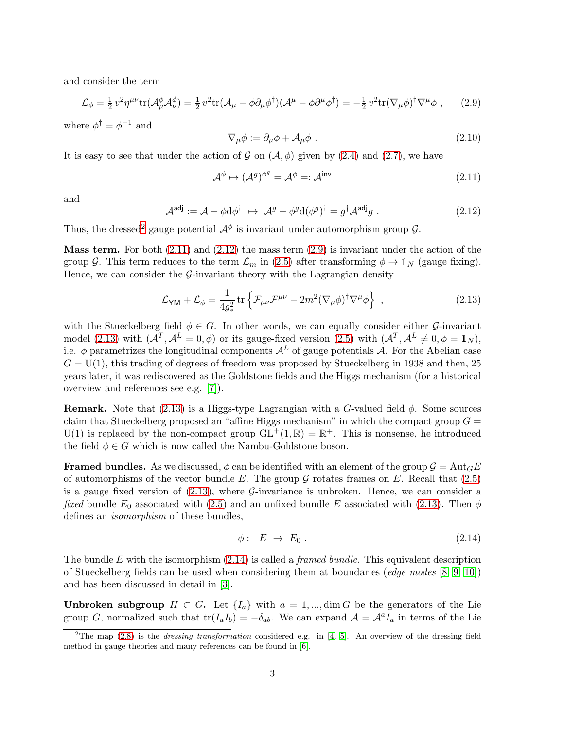and consider the term

<span id="page-3-3"></span>
$$
\mathcal{L}_{\phi} = \frac{1}{2} v^2 \eta^{\mu\nu} \text{tr}(\mathcal{A}^{\phi}_{\mu} \mathcal{A}^{\phi}_{\nu}) = \frac{1}{2} v^2 \text{tr}(\mathcal{A}_{\mu} - \phi \partial_{\mu} \phi^{\dagger}) (\mathcal{A}^{\mu} - \phi \partial^{\mu} \phi^{\dagger}) = -\frac{1}{2} v^2 \text{tr}(\nabla_{\mu} \phi)^{\dagger} \nabla^{\mu} \phi , \qquad (2.9)
$$

where  $\phi^{\dagger} = \phi^{-1}$  and

$$
\nabla_{\mu}\phi := \partial_{\mu}\phi + \mathcal{A}_{\mu}\phi . \tag{2.10}
$$

It is easy to see that under the action of G on  $(\mathcal{A}, \phi)$  given by [\(2.4\)](#page-2-1) and [\(2.7\)](#page-2-3), we have

<span id="page-3-1"></span>
$$
\mathcal{A}^{\phi} \mapsto (\mathcal{A}^{g})^{\phi^{g}} = \mathcal{A}^{\phi} =: \mathcal{A}^{\text{inv}} \tag{2.11}
$$

and

<span id="page-3-2"></span>
$$
\mathcal{A}^{\text{adj}} := \mathcal{A} - \phi \mathrm{d}\phi^{\dagger} \ \mapsto \ \mathcal{A}^g - \phi^g \mathrm{d}(\phi^g)^{\dagger} = g^{\dagger} \mathcal{A}^{\text{adj}} g \ . \tag{2.12}
$$

Thus, the dressed<sup>[2](#page-3-0)</sup> gauge potential  $\mathcal{A}^{\phi}$  is invariant under automorphism group  $\mathcal{G}$ .

**Mass term.** For both  $(2.11)$  and  $(2.12)$  the mass term  $(2.9)$  is invariant under the action of the group G. This term reduces to the term  $\mathcal{L}_m$  in [\(2.5\)](#page-2-0) after transforming  $\phi \to \mathbb{1}_N$  (gauge fixing). Hence, we can consider the  $\mathcal{G}\text{-invariant}$  theory with the Lagrangian density

<span id="page-3-4"></span>
$$
\mathcal{L}_{\mathsf{YM}} + \mathcal{L}_{\phi} = \frac{1}{4g_*^2} \operatorname{tr} \left\{ \mathcal{F}_{\mu\nu} \mathcal{F}^{\mu\nu} - 2m^2 (\nabla_{\mu}\phi)^{\dagger} \nabla^{\mu}\phi \right\} , \qquad (2.13)
$$

with the Stueckelberg field  $\phi \in G$ . In other words, we can equally consider either G-invariant model [\(2.13\)](#page-3-4) with  $(A^T, \mathcal{A}^L = 0, \phi)$  or its gauge-fixed version [\(2.5\)](#page-2-0) with  $(\mathcal{A}^T, \mathcal{A}^L \neq 0, \phi = \mathbb{1}_N)$ , i.e. φ parametrizes the longitudinal components  $\mathcal{A}^L$  of gauge potentials  $\mathcal{A}$ . For the Abelian case  $G = U(1)$ , this trading of degrees of freedom was proposed by Stueckelberg in 1938 and then, 25 years later, it was rediscovered as the Goldstone fields and the Higgs mechanism (for a historical overview and references see e.g. [\[7\]](#page-21-3)).

**Remark.** Note that [\(2.13\)](#page-3-4) is a Higgs-type Lagrangian with a G-valued field  $\phi$ . Some sources claim that Stueckelberg proposed an "affine Higgs mechanism" in which the compact group  $G =$  $U(1)$  is replaced by the non-compact group  $GL^+(1,\mathbb{R}) = \mathbb{R}^+$ . This is nonsense, he introduced the field  $\phi \in G$  which is now called the Nambu-Goldstone boson.

**Framed bundles.** As we discussed,  $\phi$  can be identified with an element of the group  $\mathcal{G} = \text{Aut}_G E$ of automorphisms of the vector bundle E. The group  $\mathcal G$  rotates frames on E. Recall that [\(2.5\)](#page-2-0) is a gauge fixed version of  $(2.13)$ , where  $\mathcal{G}\text{-invariance}$  is unbroken. Hence, we can consider a *fixed* bundle  $E_0$  associated with [\(2.5\)](#page-2-0) and an unfixed bundle E associated with [\(2.13\)](#page-3-4). Then  $\phi$ defines an *isomorphism* of these bundles,

<span id="page-3-5"></span>
$$
\phi: E \to E_0. \tag{2.14}
$$

The bundle E with the isomorphism  $(2.14)$  is called a *framed bundle*. This equivalent description of Stueckelberg fields can be used when considering them at boundaries (*edge modes*  $[8, 9, 10]$  $[8, 9, 10]$  $[8, 9, 10]$ ) and has been discussed in detail in [\[3\]](#page-21-2).

**Unbroken subgroup**  $H \subset G$ . Let  $\{I_a\}$  with  $a = 1, ..., \dim G$  be the generators of the Lie group G, normalized such that  $tr(I_aI_b) = -\delta_{ab}$ . We can expand  $\mathcal{A} = \mathcal{A}^aI_a$  in terms of the Lie

<span id="page-3-0"></span><sup>&</sup>lt;sup>2</sup>The map  $(2.8)$  is the *dressing transformation* considered e.g. in [\[4,](#page-21-7) [5\]](#page-21-8). An overview of the dressing field method in gauge theories and many references can be found in [\[6\]](#page-21-9).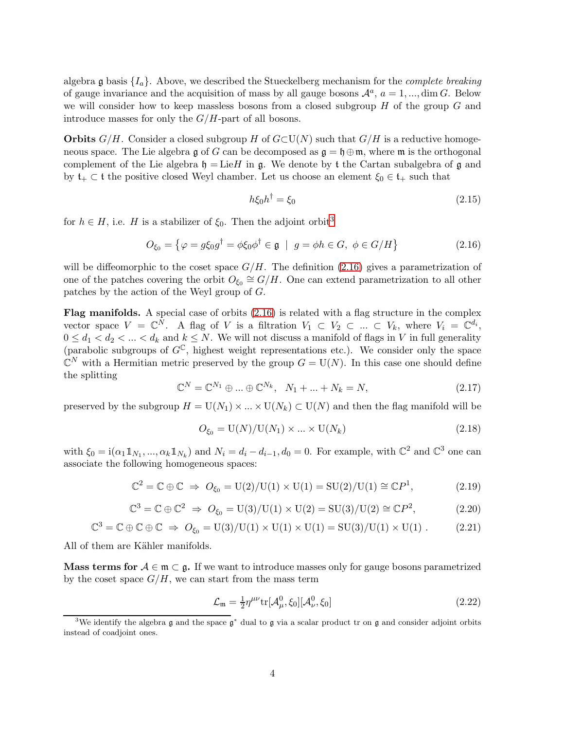algebra g basis  $\{I_a\}$ . Above, we described the Stueckelberg mechanism for the *complete breaking* of gauge invariance and the acquisition of mass by all gauge bosons  $\mathcal{A}^a$ ,  $a = 1, ..., \dim G$ . Below we will consider how to keep massless bosons from a closed subgroup  $H$  of the group  $G$  and introduce masses for only the  $G/H$ -part of all bosons.

**Orbits**  $G/H$ . Consider a closed subgroup H of  $G\subset V(N)$  such that  $G/H$  is a reductive homogeneous space. The Lie algebra g of G can be decomposed as  $\mathfrak{g} = \mathfrak{h} \oplus \mathfrak{m}$ , where  $\mathfrak{m}$  is the orthogonal complement of the Lie algebra  $\mathfrak{h} = \text{Lie}H$  in g. We denote by t the Cartan subalgebra of g and by  $t_+ \subset t$  the positive closed Weyl chamber. Let us choose an element  $\xi_0 \in t_+$  such that

<span id="page-4-5"></span>
$$
h\xi_0 h^\dagger = \xi_0 \tag{2.15}
$$

for  $h \in H$ , i.e. H is a stabilizer of  $\xi_0$ . Then the adjoint orbit<sup>[3](#page-4-0)</sup>

<span id="page-4-1"></span>
$$
O_{\xi_0} = \left\{ \varphi = g\xi_0 g^\dagger = \phi\xi_0 \phi^\dagger \in \mathfrak{g} \mid g = \phi h \in G, \ \phi \in G/H \right\} \tag{2.16}
$$

will be diffeomorphic to the coset space  $G/H$ . The definition [\(2.16\)](#page-4-1) gives a parametrization of one of the patches covering the orbit  $O_{\xi_0} \cong G/H$ . One can extend parametrization to all other patches by the action of the Weyl group of G.

**Flag manifolds.** A special case of orbits  $(2.16)$  is related with a flag structure in the complex vector space  $V = \mathbb{C}^N$ . A flag of V is a filtration  $V_1 \subset V_2 \subset ... \subset V_k$ , where  $V_i = \mathbb{C}^{d_i}$ ,  $0 \leq d_1 < d_2 < \ldots < d_k$  and  $k \leq N$ . We will not discuss a manifold of flags in V in full generality (parabolic subgroups of  $G^{\mathbb{C}}$ , highest weight representations etc.). We consider only the space  $\mathbb{C}^N$  with a Hermitian metric preserved by the group  $G = U(N)$ . In this case one should define the splitting

<span id="page-4-3"></span>
$$
\mathbb{C}^{N} = \mathbb{C}^{N_1} \oplus \dots \oplus \mathbb{C}^{N_k}, \quad N_1 + \dots + N_k = N,
$$
\n(2.17)

preserved by the subgroup  $H = U(N_1) \times ... \times U(N_k) \subset U(N)$  and then the flag manifold will be

<span id="page-4-4"></span>
$$
O_{\xi_0} = \mathcal{U}(N) / \mathcal{U}(N_1) \times \ldots \times \mathcal{U}(N_k)
$$
\n
$$
(2.18)
$$

with  $\xi_0 = i(\alpha_1 1\!\!1_{N_1}, ..., \alpha_k 1\!\!1_{N_k})$  and  $N_i = d_i - d_{i-1}, d_0 = 0$ . For example, with  $\mathbb{C}^2$  and  $\mathbb{C}^3$  one can associate the following homogeneous spaces:

$$
\mathbb{C}^2 = \mathbb{C} \oplus \mathbb{C} \implies O_{\xi_0} = \mathrm{U}(2)/\mathrm{U}(1) \times \mathrm{U}(1) = \mathrm{SU}(2)/\mathrm{U}(1) \cong \mathbb{C}P^1,\tag{2.19}
$$

$$
\mathbb{C}^3 = \mathbb{C} \oplus \mathbb{C}^2 \implies O_{\xi_0} = \text{U}(3)/\text{U}(1) \times \text{U}(2) = \text{SU}(3)/\text{U}(2) \cong \mathbb{C}P^2,\tag{2.20}
$$

$$
\mathbb{C}^3 = \mathbb{C} \oplus \mathbb{C} \oplus \mathbb{C} \implies O_{\xi_0} = \mathrm{U}(3)/\mathrm{U}(1) \times \mathrm{U}(1) \times \mathrm{U}(1) = \mathrm{SU}(3)/\mathrm{U}(1) \times \mathrm{U}(1) . \tag{2.21}
$$

All of them are Kähler manifolds.

Mass terms for  $A \in \mathfrak{m} \subset \mathfrak{g}$ . If we want to introduce masses only for gauge bosons parametrized by the coset space  $G/H$ , we can start from the mass term

<span id="page-4-2"></span>
$$
\mathcal{L}_{\mathfrak{m}} = \frac{1}{2} \eta^{\mu\nu} \text{tr}[\mathcal{A}^0_{\mu}, \xi_0] [\mathcal{A}^0_{\nu}, \xi_0]
$$
\n(2.22)

<span id="page-4-0"></span><sup>&</sup>lt;sup>3</sup>We identify the algebra g and the space  $g^*$  dual to g via a scalar product tr on g and consider adjoint orbits instead of coadjoint ones.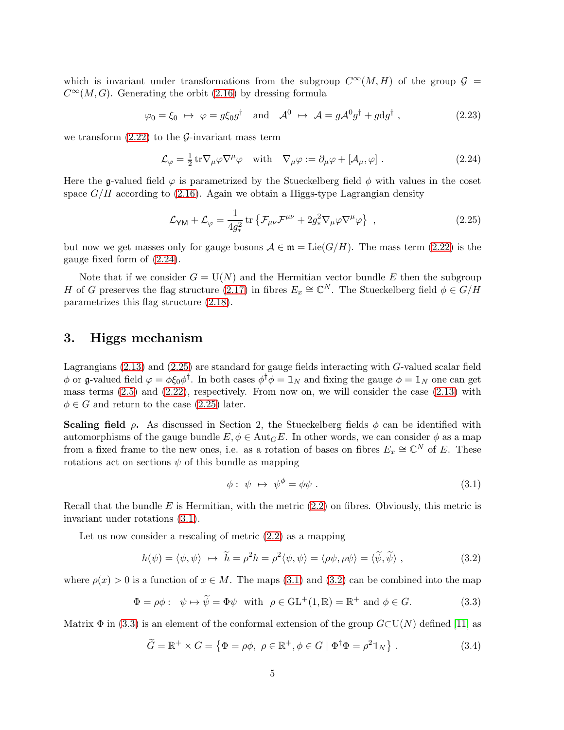which is invariant under transformations from the subgroup  $C^{\infty}(M, H)$  of the group  $\mathcal{G}$  =  $C^{\infty}(M, G)$ . Generating the orbit [\(2.16\)](#page-4-1) by dressing formula

$$
\varphi_0 = \xi_0 \ \mapsto \ \varphi = g\xi_0 g^\dagger \quad \text{and} \quad \mathcal{A}^0 \ \mapsto \ \mathcal{A} = g\mathcal{A}^0 g^\dagger + g \mathrm{d} g^\dagger \ , \tag{2.23}
$$

we transform  $(2.22)$  to the G-invariant mass term

<span id="page-5-0"></span>
$$
\mathcal{L}_{\varphi} = \frac{1}{2} \operatorname{tr} \nabla_{\mu} \varphi \nabla^{\mu} \varphi \quad \text{with} \quad \nabla_{\mu} \varphi := \partial_{\mu} \varphi + [\mathcal{A}_{\mu}, \varphi] \ . \tag{2.24}
$$

Here the g-valued field  $\varphi$  is parametrized by the Stueckelberg field  $\phi$  with values in the coset space  $G/H$  according to [\(2.16\)](#page-4-1). Again we obtain a Higgs-type Lagrangian density

<span id="page-5-1"></span>
$$
\mathcal{L}_{\mathsf{YM}} + \mathcal{L}_{\varphi} = \frac{1}{4g_*^2} \operatorname{tr} \left\{ \mathcal{F}_{\mu\nu} \mathcal{F}^{\mu\nu} + 2g_*^2 \nabla_{\mu} \varphi \nabla^{\mu} \varphi \right\} , \qquad (2.25)
$$

but now we get masses only for gauge bosons  $A \in \mathfrak{m} = \text{Lie}(G/H)$ . The mass term [\(2.22\)](#page-4-2) is the gauge fixed form of [\(2.24\)](#page-5-0).

Note that if we consider  $G = U(N)$  and the Hermitian vector bundle E then the subgroup H of G preserves the flag structure [\(2.17\)](#page-4-3) in fibres  $E_x \cong \mathbb{C}^N$ . The Stueckelberg field  $\phi \in G/H$ parametrizes this flag structure [\(2.18\)](#page-4-4).

## 3. Higgs mechanism

Lagrangians [\(2.13\)](#page-3-4) and [\(2.25\)](#page-5-1) are standard for gauge fields interacting with G-valued scalar field  $\phi$  or g-valued field  $\varphi = \phi \xi_0 \phi^{\dagger}$ . In both cases  $\phi^{\dagger} \phi = \mathbb{1}_N$  and fixing the gauge  $\phi = \mathbb{1}_N$  one can get mass terms  $(2.5)$  and  $(2.22)$ , respectively. From now on, we will consider the case  $(2.13)$  with  $\phi \in G$  and return to the case [\(2.25\)](#page-5-1) later.

**Scaling field**  $\rho$ . As discussed in Section 2, the Stueckelberg fields  $\phi$  can be identified with automorphisms of the gauge bundle  $E, \phi \in Aut_G E$ . In other words, we can consider  $\phi$  as a map from a fixed frame to the new ones, i.e. as a rotation of bases on fibres  $E_x \cong \mathbb{C}^N$  of E. These rotations act on sections  $\psi$  of this bundle as mapping

<span id="page-5-2"></span>
$$
\phi: \psi \mapsto \psi^{\phi} = \phi \psi. \tag{3.1}
$$

Recall that the bundle  $E$  is Hermitian, with the metric  $(2.2)$  on fibres. Obviously, this metric is invariant under rotations [\(3.1\)](#page-5-2).

Let us now consider a rescaling of metric  $(2.2)$  as a mapping

<span id="page-5-3"></span>
$$
h(\psi) = \langle \psi, \psi \rangle \leftrightarrow \tilde{h} = \rho^2 h = \rho^2 \langle \psi, \psi \rangle = \langle \rho \psi, \rho \psi \rangle = \langle \tilde{\psi}, \tilde{\psi} \rangle , \qquad (3.2)
$$

where  $\rho(x) > 0$  is a function of  $x \in M$ . The maps [\(3.1\)](#page-5-2) and [\(3.2\)](#page-5-3) can be combined into the map

<span id="page-5-4"></span>
$$
\Phi = \rho \phi: \quad \psi \mapsto \widetilde{\psi} = \Phi \psi \quad \text{with} \quad \rho \in \text{GL}^+(1, \mathbb{R}) = \mathbb{R}^+ \text{ and } \phi \in G. \tag{3.3}
$$

Matrix  $\Phi$  in [\(3.3\)](#page-5-4) is an element of the conformal extension of the group  $G\subset\mathrm{U}(N)$  defined [\[11\]](#page-21-10) as

<span id="page-5-5"></span>
$$
\widetilde{G} = \mathbb{R}^+ \times G = \left\{ \Phi = \rho \phi, \ \rho \in \mathbb{R}^+, \phi \in G \mid \Phi^\dagger \Phi = \rho^2 \mathbb{1}_N \right\}. \tag{3.4}
$$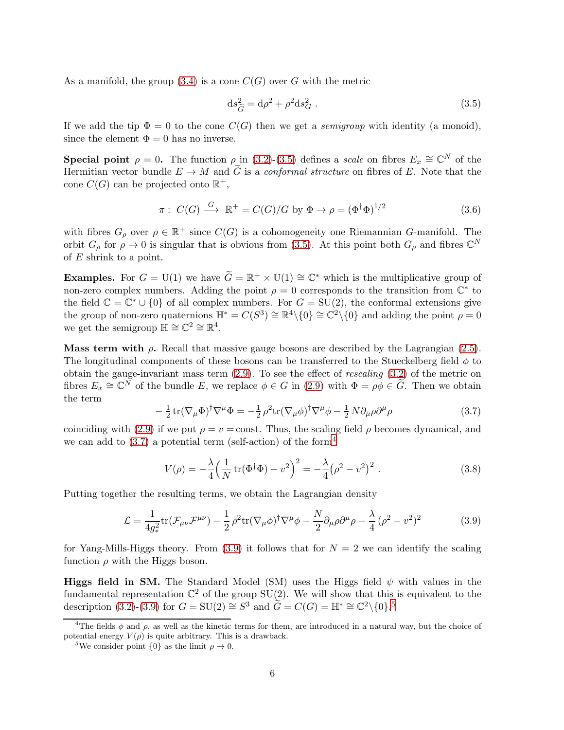As a manifold, the group  $(3.4)$  is a cone  $C(G)$  over G with the metric

<span id="page-6-0"></span>
$$
ds_{\tilde{G}}^2 = d\rho^2 + \rho^2 ds_G^2 \ . \tag{3.5}
$$

If we add the tip  $\Phi = 0$  to the cone  $C(G)$  then we get a *semigroup* with identity (a monoid), since the element  $\Phi = 0$  has no inverse.

**Special point**  $\rho = 0$ . The function  $\rho$  in [\(3.2\)](#page-5-3)-[\(3.5\)](#page-6-0) defines a scale on fibres  $E_x \cong \mathbb{C}^N$  of the Hermitian vector bundle  $E \to M$  and  $\tilde{G}$  is a *conformal structure* on fibres of E. Note that the cone  $C(G)$  can be projected onto  $\mathbb{R}^+$ ,

$$
\pi: C(G) \xrightarrow{G} \mathbb{R}^+ = C(G)/G \text{ by } \Phi \to \rho = (\Phi^{\dagger} \Phi)^{1/2}
$$
\n(3.6)

with fibres  $G_{\rho}$  over  $\rho \in \mathbb{R}^+$  since  $C(G)$  is a cohomogeneity one Riemannian G-manifold. The orbit  $G_{\rho}$  for  $\rho \to 0$  is singular that is obvious from [\(3.5\)](#page-6-0). At this point both  $G_{\rho}$  and fibres  $\mathbb{C}^N$ of  $E$  shrink to a point.

**Examples.** For  $G = U(1)$  we have  $\tilde{G} = \mathbb{R}^+ \times U(1) \cong \mathbb{C}^*$  which is the multiplicative group of non-zero complex numbers. Adding the point  $\rho = 0$  corresponds to the transition from  $\mathbb{C}^*$  to the field  $\mathbb{C} = \mathbb{C}^* \cup \{0\}$  of all complex numbers. For  $G = SU(2)$ , the conformal extensions give the group of non-zero quaternions  $\mathbb{H}^* = C(S^3) \cong \mathbb{R}^4 \setminus \{0\} \cong \mathbb{C}^2 \setminus \{0\}$  and adding the point  $\rho = 0$ we get the semigroup  $\mathbb{H} \cong \mathbb{C}^2 \cong \mathbb{R}^4$ .

Mass term with  $\rho$ . Recall that massive gauge bosons are described by the Lagrangian [\(2.5\)](#page-2-0). The longitudinal components of these bosons can be transferred to the Stueckelberg field  $\phi$  to obtain the gauge-invariant mass term  $(2.9)$ . To see the effect of *rescaling*  $(3.2)$  of the metric on fibres  $E_x \cong \mathbb{C}^N$  of the bundle E, we replace  $\phi \in G$  in [\(2.9\)](#page-3-3) with  $\Phi = \rho \phi \in \widetilde{G}$ . Then we obtain the term

<span id="page-6-1"></span>
$$
-\frac{1}{2}\operatorname{tr}(\nabla_{\mu}\Phi)^{\dagger}\nabla^{\mu}\Phi = -\frac{1}{2}\rho^{2}\operatorname{tr}(\nabla_{\mu}\phi)^{\dagger}\nabla^{\mu}\phi - \frac{1}{2}N\partial_{\mu}\rho\partial^{\mu}\rho
$$
\n(3.7)

coinciding with [\(2.9\)](#page-3-3) if we put  $\rho = v = \text{const.}$  Thus, the scaling field  $\rho$  becomes dynamical, and we can add to  $(3.7)$  a potential term (self-action) of the form<sup>[4](#page-6-2)</sup>

<span id="page-6-5"></span>
$$
V(\rho) = -\frac{\lambda}{4} \left( \frac{1}{N} \operatorname{tr}(\Phi^{\dagger} \Phi) - v^2 \right)^2 = -\frac{\lambda}{4} (\rho^2 - v^2)^2 . \tag{3.8}
$$

Putting together the resulting terms, we obtain the Lagrangian density

<span id="page-6-3"></span>
$$
\mathcal{L} = \frac{1}{4g_*^2} \text{tr}(\mathcal{F}_{\mu\nu}\mathcal{F}^{\mu\nu}) - \frac{1}{2} \rho^2 \text{tr}(\nabla_\mu \phi)^\dagger \nabla^\mu \phi - \frac{N}{2} \partial_\mu \rho \partial^\mu \rho - \frac{\lambda}{4} (\rho^2 - v^2)^2 \tag{3.9}
$$

for Yang-Mills-Higgs theory. From  $(3.9)$  it follows that for  $N = 2$  we can identify the scaling function  $\rho$  with the Higgs boson.

**Higgs field in SM.** The Standard Model (SM) uses the Higgs field  $\psi$  with values in the fundamental representation  $\mathbb{C}^2$  of the group  $SU(2)$ . We will show that this is equivalent to the description [\(3.2\)](#page-5-3)-[\(3.9\)](#page-6-3) for  $G = SU(2) \cong S^3$  and  $\widetilde{G} = C(G) = \mathbb{H}^* \cong \mathbb{C}^2 \setminus \{0\}$ .<sup>[5](#page-6-4)</sup>

<sup>&</sup>lt;sup>4</sup>The fields  $\phi$  and  $\rho$ , as well as the kinetic terms for them, are introduced in a natural way, but the choice of potential energy  $V(\rho)$  is quite arbitrary. This is a drawback.

<span id="page-6-4"></span><span id="page-6-2"></span><sup>&</sup>lt;sup>5</sup>We consider point  $\{0\}$  as the limit  $\rho \to 0$ .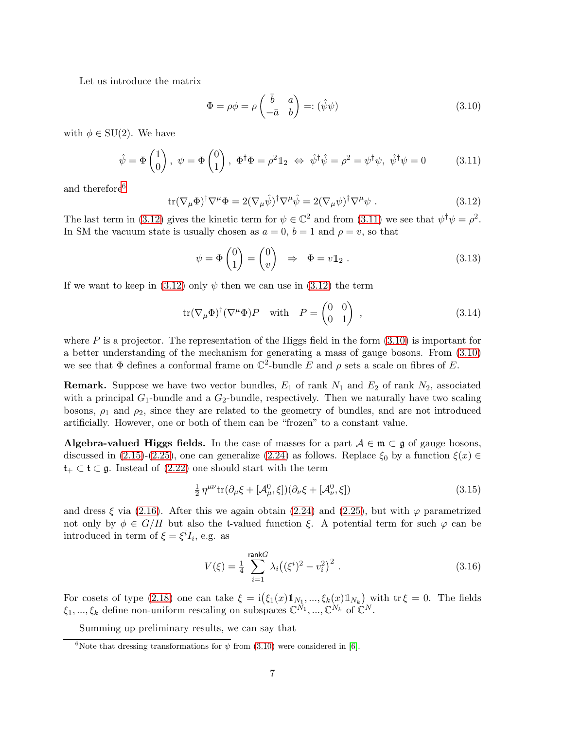Let us introduce the matrix

<span id="page-7-3"></span>
$$
\Phi = \rho \phi = \rho \begin{pmatrix} \bar{b} & a \\ -\bar{a} & b \end{pmatrix} =: (\hat{\psi}\psi)
$$
\n(3.10)

with  $\phi \in SU(2)$ . We have

<span id="page-7-2"></span>
$$
\hat{\psi} = \Phi \begin{pmatrix} 1 \\ 0 \end{pmatrix}, \ \psi = \Phi \begin{pmatrix} 0 \\ 1 \end{pmatrix}, \ \Phi^{\dagger} \Phi = \rho^2 \mathbb{1}_2 \ \Leftrightarrow \ \hat{\psi}^{\dagger} \hat{\psi} = \rho^2 = \psi^{\dagger} \psi, \ \hat{\psi}^{\dagger} \psi = 0 \tag{3.11}
$$

and therefore<sup>[6](#page-7-0)</sup>

<span id="page-7-1"></span>
$$
\text{tr}(\nabla_{\mu}\Phi)^{\dagger}\nabla^{\mu}\Phi = 2(\nabla_{\mu}\hat{\psi})^{\dagger}\nabla^{\mu}\hat{\psi} = 2(\nabla_{\mu}\psi)^{\dagger}\nabla^{\mu}\psi . \qquad (3.12)
$$

The last term in [\(3.12\)](#page-7-1) gives the kinetic term for  $\psi \in \mathbb{C}^2$  and from [\(3.11\)](#page-7-2) we see that  $\psi^{\dagger} \psi = \rho^2$ . In SM the vacuum state is usually chosen as  $a = 0$ ,  $b = 1$  and  $\rho = v$ , so that

$$
\psi = \Phi \begin{pmatrix} 0 \\ 1 \end{pmatrix} = \begin{pmatrix} 0 \\ v \end{pmatrix} \Rightarrow \Phi = v \mathbb{1}_2 . \tag{3.13}
$$

If we want to keep in [\(3.12\)](#page-7-1) only  $\psi$  then we can use in (3.12) the term

$$
\operatorname{tr}(\nabla_{\mu}\Phi)^{\dagger}(\nabla^{\mu}\Phi)P \quad \text{with} \quad P = \begin{pmatrix} 0 & 0 \\ 0 & 1 \end{pmatrix} , \qquad (3.14)
$$

where P is a projector. The representation of the Higgs field in the form  $(3.10)$  is important for a better understanding of the mechanism for generating a mass of gauge bosons. From [\(3.10\)](#page-7-3) we see that  $\Phi$  defines a conformal frame on  $\mathbb{C}^2$ -bundle E and  $\rho$  sets a scale on fibres of E.

**Remark.** Suppose we have two vector bundles,  $E_1$  of rank  $N_1$  and  $E_2$  of rank  $N_2$ , associated with a principal  $G_1$ -bundle and a  $G_2$ -bundle, respectively. Then we naturally have two scaling bosons,  $\rho_1$  and  $\rho_2$ , since they are related to the geometry of bundles, and are not introduced artificially. However, one or both of them can be "frozen" to a constant value.

Algebra-valued Higgs fields. In the case of masses for a part  $A \in \mathfrak{m} \subset \mathfrak{g}$  of gauge bosons, discussed in [\(2.15\)](#page-4-5)-[\(2.25\)](#page-5-1), one can generalize [\(2.24\)](#page-5-0) as follows. Replace  $\xi_0$  by a function  $\xi(x) \in$  $t_+ \subset t \subset g$ . Instead of [\(2.22\)](#page-4-2) one should start with the term

$$
\frac{1}{2} \eta^{\mu\nu} \text{tr}(\partial_{\mu}\xi + [\mathcal{A}^0_{\mu}, \xi])(\partial_{\nu}\xi + [\mathcal{A}^0_{\nu}, \xi]) \tag{3.15}
$$

and dress  $\xi$  via [\(2.16\)](#page-4-1). After this we again obtain [\(2.24\)](#page-5-0) and [\(2.25\)](#page-5-1), but with  $\varphi$  parametrized not only by  $\phi \in G/H$  but also the t-valued function  $\xi$ . A potential term for such  $\varphi$  can be introduced in term of  $\xi = \xi^i I_i$ , e.g. as

$$
V(\xi) = \frac{1}{4} \sum_{i=1}^{\text{rank}G} \lambda_i \left( (\xi^i)^2 - v_i^2 \right)^2.
$$
 (3.16)

For cosets of type [\(2.18\)](#page-4-4) one can take  $\xi = i(\xi_1(x)1_{N_1},..., \xi_k(x)1_{N_k})$  with  $\text{tr}\,\xi = 0$ . The fields  $\xi_1, ..., \xi_k$  define non-uniform rescaling on subspaces  $\mathbb{C}^{N_1}, ..., \mathbb{C}^{N_k}$  of  $\mathbb{C}^N$ .

Summing up preliminary results, we can say that

<span id="page-7-0"></span><sup>&</sup>lt;sup>6</sup>Note that dressing transformations for  $\psi$  from [\(3.10\)](#page-7-3) were considered in [\[6\]](#page-21-9).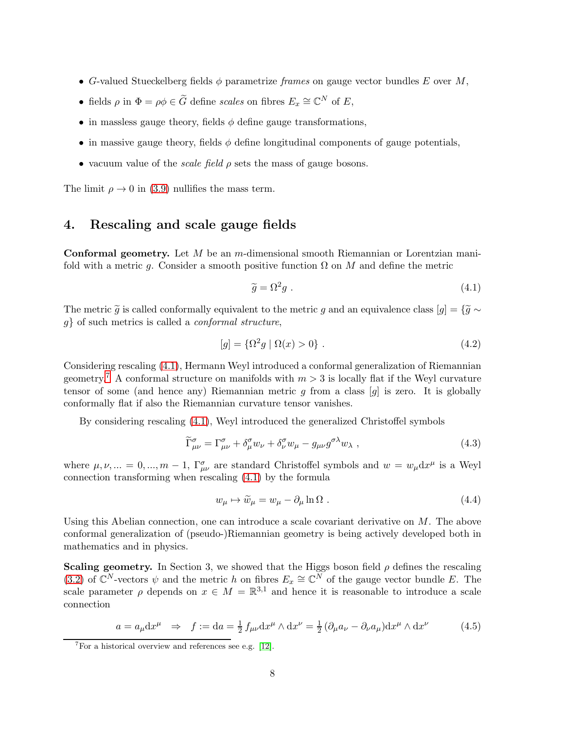- G-valued Stueckelberg fields  $\phi$  parametrize frames on gauge vector bundles E over M,
- fields  $\rho$  in  $\Phi = \rho \phi \in \tilde{G}$  define scales on fibres  $E_x \cong \mathbb{C}^N$  of  $E$ ,
- in massless gauge theory, fields  $\phi$  define gauge transformations,
- in massive gauge theory, fields  $\phi$  define longitudinal components of gauge potentials,
- vacuum value of the *scale field*  $\rho$  sets the mass of gauge bosons.

The limit  $\rho \to 0$  in [\(3.9\)](#page-6-3) nullifies the mass term.

# 4. Rescaling and scale gauge fields

**Conformal geometry.** Let  $M$  be an  $m$ -dimensional smooth Riemannian or Lorentzian manifold with a metric g. Consider a smooth positive function  $\Omega$  on M and define the metric

<span id="page-8-0"></span>
$$
\widetilde{g} = \Omega^2 g \ . \tag{4.1}
$$

The metric  $\tilde{g}$  is called conformally equivalent to the metric g and an equivalence class  $[g] = {\tilde{g} \sim}$  $g$ } of such metrics is called a *conformal structure*,

$$
[g] = {\Omega^2 g | \Omega(x) > 0}.
$$
\n(4.2)

Considering rescaling [\(4.1\)](#page-8-0), Hermann Weyl introduced a conformal generalization of Riemannian geometry.<sup>[7](#page-8-1)</sup> A conformal structure on manifolds with  $m > 3$  is locally flat if the Weyl curvature tensor of some (and hence any) Riemannian metric  $g$  from a class  $[g]$  is zero. It is globally conformally flat if also the Riemannian curvature tensor vanishes.

By considering rescaling [\(4.1\)](#page-8-0), Weyl introduced the generalized Christoffel symbols

$$
\widetilde{\Gamma}^{\sigma}_{\mu\nu} = \Gamma^{\sigma}_{\mu\nu} + \delta^{\sigma}_{\mu} w_{\nu} + \delta^{\sigma}_{\nu} w_{\mu} - g_{\mu\nu} g^{\sigma\lambda} w_{\lambda} , \qquad (4.3)
$$

where  $\mu, \nu, ... = 0, ..., m - 1$ ,  $\Gamma^{\sigma}_{\mu\nu}$  are standard Christoffel symbols and  $w = w_{\mu} dx^{\mu}$  is a Weyl connection transforming when rescaling [\(4.1\)](#page-8-0) by the formula

<span id="page-8-2"></span>
$$
w_{\mu} \mapsto \widetilde{w}_{\mu} = w_{\mu} - \partial_{\mu} \ln \Omega . \tag{4.4}
$$

Using this Abelian connection, one can introduce a scale covariant derivative on  $M$ . The above conformal generalization of (pseudo-)Riemannian geometry is being actively developed both in mathematics and in physics.

Scaling geometry. In Section 3, we showed that the Higgs boson field  $\rho$  defines the rescaling [\(3.2\)](#page-5-3) of  $\mathbb{C}^N$ -vectors  $\psi$  and the metric h on fibres  $E_x \cong \mathbb{C}^N$  of the gauge vector bundle E. The scale parameter  $\rho$  depends on  $x \in M = \mathbb{R}^{3,1}$  and hence it is reasonable to introduce a scale connection

<span id="page-8-3"></span>
$$
a = a_{\mu} dx^{\mu} \Rightarrow f := da = \frac{1}{2} f_{\mu\nu} dx^{\mu} \wedge dx^{\nu} = \frac{1}{2} (\partial_{\mu} a_{\nu} - \partial_{\nu} a_{\mu}) dx^{\mu} \wedge dx^{\nu}
$$
(4.5)

<span id="page-8-1"></span> $7$ For a historical overview and references see e.g. [\[12\]](#page-21-11).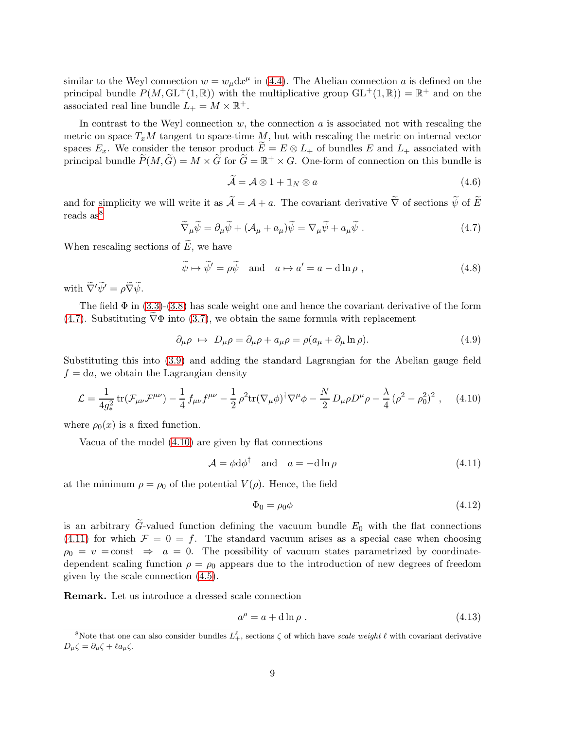similar to the Weyl connection  $w = w_{\mu} dx^{\mu}$  in [\(4.4\)](#page-8-2). The Abelian connection a is defined on the principal bundle  $P(M,\text{GL}^+(1,\mathbb{R}))$  with the multiplicative group  $\text{GL}^+(1,\mathbb{R})) = \mathbb{R}^+$  and on the associated real line bundle  $L_{+} = M \times \mathbb{R}^{+}$ .

In contrast to the Weyl connection  $w$ , the connection  $a$  is associated not with rescaling the metric on space  $T_xM$  tangent to space-time M, but with rescaling the metric on internal vector spaces  $E_x$ . We consider the tensor product  $\widetilde{E} = E \otimes L_+$  of bundles E and  $L_+$  associated with principal bundle  $\widetilde{P}(M,\widetilde{G})=M\times\widetilde{G}$  for  $\widetilde{G}=\mathbb{R}^+\times G$ . One-form of connection on this bundle is

$$
\widetilde{\mathcal{A}} = \mathcal{A} \otimes 1 + \mathbb{1}_N \otimes a \tag{4.6}
$$

and for simplicity we will write it as  $\widetilde{\mathcal{A}} = \mathcal{A} + a$ . The covariant derivative  $\widetilde{\nabla}$  of sections  $\widetilde{\psi}$  of  $\widetilde{E}$ reads as<sup>[8](#page-9-0)</sup>

<span id="page-9-1"></span>
$$
\widetilde{\nabla}_{\mu}\widetilde{\psi} = \partial_{\mu}\widetilde{\psi} + (\mathcal{A}_{\mu} + a_{\mu})\widetilde{\psi} = \nabla_{\mu}\widetilde{\psi} + a_{\mu}\widetilde{\psi} . \tag{4.7}
$$

When rescaling sections of  $E$ , we have

<span id="page-9-5"></span>
$$
\widetilde{\psi} \mapsto \widetilde{\psi}' = \rho \widetilde{\psi} \quad \text{and} \quad a \mapsto a' = a - d \ln \rho , \qquad (4.8)
$$

with  $\widetilde{\nabla}' \widetilde{\psi}' = \rho \widetilde{\nabla} \widetilde{\psi}$ .

The field  $\Phi$  in [\(3.3\)](#page-5-4)-[\(3.8\)](#page-6-5) has scale weight one and hence the covariant derivative of the form [\(4.7\)](#page-9-1). Substituting  $\nabla\Phi$  into [\(3.7\)](#page-6-1), we obtain the same formula with replacement

<span id="page-9-4"></span>
$$
\partial_{\mu}\rho \ \mapsto \ D_{\mu}\rho = \partial_{\mu}\rho + a_{\mu}\rho = \rho(a_{\mu} + \partial_{\mu}\ln\rho). \tag{4.9}
$$

Substituting this into [\(3.9\)](#page-6-3) and adding the standard Lagrangian for the Abelian gauge field  $f = da$ , we obtain the Lagrangian density

<span id="page-9-2"></span>
$$
\mathcal{L} = \frac{1}{4g_*^2} tr(\mathcal{F}_{\mu\nu} \mathcal{F}^{\mu\nu}) - \frac{1}{4} f_{\mu\nu} f^{\mu\nu} - \frac{1}{2} \rho^2 tr(\nabla_\mu \phi)^\dagger \nabla^\mu \phi - \frac{N}{2} D_\mu \rho D^\mu \rho - \frac{\lambda}{4} (\rho^2 - \rho_0^2)^2 , \quad (4.10)
$$

where  $\rho_0(x)$  is a fixed function.

Vacua of the model [\(4.10\)](#page-9-2) are given by flat connections

<span id="page-9-3"></span>
$$
\mathcal{A} = \phi \mathrm{d}\phi^{\dagger} \quad \text{and} \quad a = -\mathrm{d}\ln\rho \tag{4.11}
$$

at the minimum  $\rho = \rho_0$  of the potential  $V(\rho)$ . Hence, the field

$$
\Phi_0 = \rho_0 \phi \tag{4.12}
$$

is an arbitrary  $\tilde{G}$ -valued function defining the vacuum bundle  $E_0$  with the flat connections [\(4.11\)](#page-9-3) for which  $\mathcal{F} = 0 = f$ . The standard vacuum arises as a special case when choosing  $\rho_0 = v = \text{const} \Rightarrow a = 0$ . The possibility of vacuum states parametrized by coordinatedependent scaling function  $\rho = \rho_0$  appears due to the introduction of new degrees of freedom given by the scale connection [\(4.5\)](#page-8-3).

Remark. Let us introduce a dressed scale connection

$$
a^{\rho} = a + d \ln \rho \tag{4.13}
$$

<span id="page-9-0"></span><sup>&</sup>lt;sup>8</sup>Note that one can also consider bundles  $L_+^{\ell}$ , sections  $\zeta$  of which have scale weight  $\ell$  with covariant derivative  $D_{\mu}\zeta = \partial_{\mu}\zeta + \ell a_{\mu}\zeta.$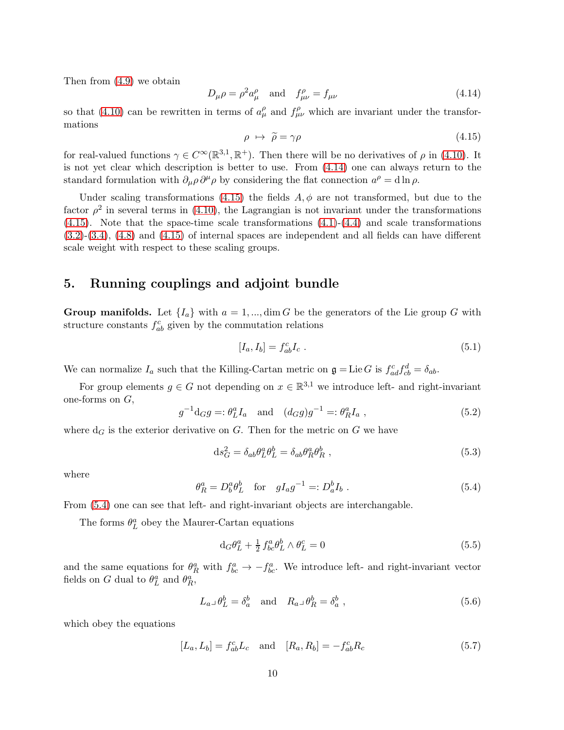Then from [\(4.9\)](#page-9-4) we obtain

<span id="page-10-0"></span>
$$
D_{\mu}\rho = \rho^2 a_{\mu}^{\rho} \quad \text{and} \quad f_{\mu\nu}^{\rho} = f_{\mu\nu} \tag{4.14}
$$

so that [\(4.10\)](#page-9-2) can be rewritten in terms of  $a_\mu^{\rho}$  and  $f_{\mu\nu}^{\rho}$  which are invariant under the transformations

<span id="page-10-1"></span>
$$
\rho \ \mapsto \ \widetilde{\rho} = \gamma \rho \tag{4.15}
$$

for real-valued functions  $\gamma \in C^{\infty}(\mathbb{R}^{3,1}, \mathbb{R}^+)$ . Then there will be no derivatives of  $\rho$  in [\(4.10\)](#page-9-2). It is not yet clear which description is better to use. From [\(4.14\)](#page-10-0) one can always return to the standard formulation with  $\partial_\mu \rho \partial^\mu \rho$  by considering the flat connection  $a^\rho = d \ln \rho$ .

Under scaling transformations [\(4.15\)](#page-10-1) the fields  $A, \phi$  are not transformed, but due to the factor  $\rho^2$  in several terms in [\(4.10\)](#page-9-2), the Lagrangian is not invariant under the transformations  $(4.15)$ . Note that the space-time scale transformations  $(4.1)-(4.4)$  $(4.1)-(4.4)$  and scale transformations [\(3.2\)](#page-5-3)-[\(3.4\)](#page-5-5), [\(4.8\)](#page-9-5) and [\(4.15\)](#page-10-1) of internal spaces are independent and all fields can have different scale weight with respect to these scaling groups.

#### 5. Running couplings and adjoint bundle

**Group manifolds.** Let  $\{I_a\}$  with  $a = 1, ..., \dim G$  be the generators of the Lie group G with structure constants  $f_{ab}^c$  given by the commutation relations

$$
[I_a, I_b] = f_{ab}^c I_c \t\t(5.1)
$$

We can normalize  $I_a$  such that the Killing-Cartan metric on  $\mathfrak{g} = \text{Lie } G$  is  $f_{ad}^c f_{cb}^d = \delta_{ab}$ .

For group elements  $g \in G$  not depending on  $x \in \mathbb{R}^{3,1}$  we introduce left- and right-invariant one-forms on  $G$ ,

$$
g^{-1}d_G g =: \theta_L^a I_a \text{ and } (d_G g)g^{-1} =: \theta_R^a I_a , \qquad (5.2)
$$

where  $d_G$  is the exterior derivative on G. Then for the metric on G we have

<span id="page-10-3"></span>
$$
ds_G^2 = \delta_{ab}\theta_L^a \theta_L^b = \delta_{ab}\theta_R^a \theta_R^b , \qquad (5.3)
$$

where

<span id="page-10-2"></span>
$$
\theta_R^a = D_b^a \theta_L^b \quad \text{for} \quad gI_a g^{-1} =: D_a^b I_b \ . \tag{5.4}
$$

From [\(5.4\)](#page-10-2) one can see that left- and right-invariant objects are interchangable.

The forms  $\theta^a_L$  obey the Maurer-Cartan equations

$$
\mathrm{d}_{G}\theta_{L}^{a} + \frac{1}{2} f_{bc}^{a} \theta_{L}^{b} \wedge \theta_{L}^{c} = 0 \tag{5.5}
$$

and the same equations for  $\theta_R^a$  with  $f_{bc}^a \to -f_{bc}^a$ . We introduce left- and right-invariant vector fields on G dual to  $\theta_L^a$  and  $\theta_R^a$ ,

$$
L_a \lrcorner \theta_L^b = \delta_a^b \quad \text{and} \quad R_a \lrcorner \theta_R^b = \delta_a^b \tag{5.6}
$$

which obey the equations

$$
[L_a, L_b] = f_{ab}^c L_c \text{ and } [R_a, R_b] = -f_{ab}^c R_c \tag{5.7}
$$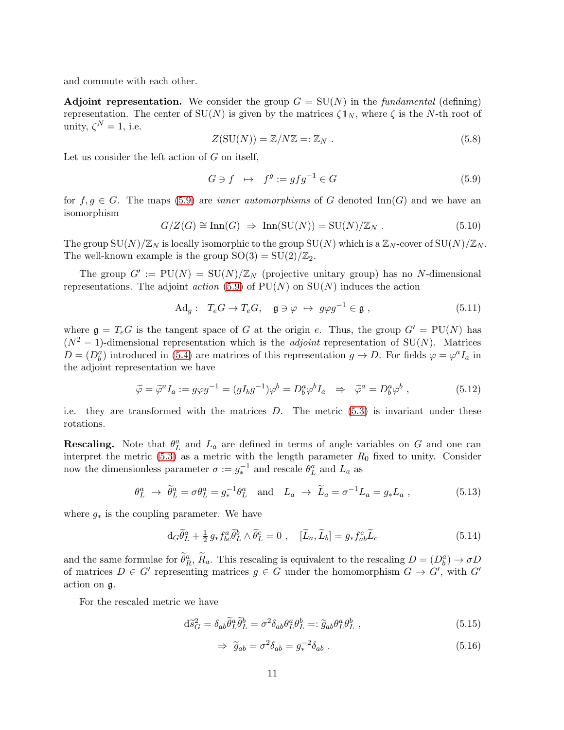and commute with each other.

**Adjoint representation.** We consider the group  $G = SU(N)$  in the *fundamental* (defining) representation. The center of  $SU(N)$  is given by the matrices  $\zeta \mathbb{1}_N$ , where  $\zeta$  is the N-th root of unity,  $\zeta^N = 1$ , i.e.

$$
Z(SU(N)) = \mathbb{Z}/N\mathbb{Z} =: \mathbb{Z}_N .
$$
\n(5.8)

Let us consider the left action of  $G$  on itself,

<span id="page-11-0"></span>
$$
G \ni f \quad \mapsto \quad f^g := gfg^{-1} \in G \tag{5.9}
$$

for  $f, g \in G$ . The maps [\(5.9\)](#page-11-0) are *inner automorphisms* of G denoted Inn(G) and we have an isomorphism

$$
G/Z(G) \cong \text{Inn}(G) \Rightarrow \text{Inn}(\text{SU}(N)) = \text{SU}(N)/\mathbb{Z}_N . \tag{5.10}
$$

The group  $SU(N)/\mathbb{Z}_N$  is locally isomorphic to the group  $SU(N)$  which is a  $\mathbb{Z}_N$ -cover of  $SU(N)/\mathbb{Z}_N$ . The well-known example is the group  $SO(3) = SU(2)/\mathbb{Z}_2$ .

The group  $G' := PU(N) = SU(N)/\mathbb{Z}_N$  (projective unitary group) has no N-dimensional representations. The adjoint *action* [\(5.9\)](#page-11-0) of  $PU(N)$  on  $SU(N)$  induces the action

<span id="page-11-3"></span>
$$
\mathrm{Ad}_g: \ T_e G \to T_e G, \quad \mathfrak{g} \ni \varphi \ \mapsto \ g \varphi g^{-1} \in \mathfrak{g} \ , \tag{5.11}
$$

where  $g = T_e G$  is the tangent space of G at the origin e. Thus, the group  $G' = PU(N)$  has  $(N^2-1)$ -dimensional representation which is the *adjoint* representation of SU(N). Matrices  $D = (D_b^a)$  introduced in [\(5.4\)](#page-10-2) are matrices of this representation  $g \to D$ . For fields  $\varphi = \varphi^a I_a$  in the adjoint representation we have

$$
\widetilde{\varphi} = \widetilde{\varphi}^a I_a := g \varphi g^{-1} = (gI_b g^{-1})\varphi^b = D_b^a \varphi^b I_a \Rightarrow \widetilde{\varphi}^a = D_b^a \varphi^b , \qquad (5.12)
$$

i.e. they are transformed with the matrices  $D$ . The metric  $(5.3)$  is invariant under these rotations.

**Rescaling.** Note that  $\theta_L^a$  and  $L_a$  are defined in terms of angle variables on G and one can interpret the metric  $(5.3)$  as a metric with the length parameter  $R_0$  fixed to unity. Consider now the dimensionless parameter  $\sigma := g_*^{-1}$  and rescale  $\theta_L^a$  and  $L_a$  as

<span id="page-11-2"></span>
$$
\theta_L^a \rightarrow \tilde{\theta}_L^a = \sigma \theta_L^a = g_*^{-1} \theta_L^a \quad \text{and} \quad L_a \rightarrow \tilde{L}_a = \sigma^{-1} L_a = g_* L_a \,, \tag{5.13}
$$

where  $g_*$  is the coupling parameter. We have

$$
d_G \widetilde{\theta}_L^a + \frac{1}{2} g_* f^a_{bc} \widetilde{\theta}_L^b \wedge \widetilde{\theta}_L^c = 0 \ , \quad [\widetilde{L}_a, \widetilde{L}_b] = g_* f^c_{ab} \widetilde{L}_c \tag{5.14}
$$

and the same formulae for  $\theta_R^a$ ,  $R_a$ . This rescaling is equivalent to the rescaling  $D = (D_b^a) \to \sigma D_a$ of matrices  $D \in G'$  representing matrices  $g \in G$  under the homomorphism  $G \to G'$ , with  $G'$ action on g.

For the rescaled metric we have

$$
d\tilde{s}_G^2 = \delta_{ab}\tilde{\theta}_L^a \tilde{\theta}_L^b = \sigma^2 \delta_{ab}\theta_L^a \theta_L^b =: \tilde{g}_{ab}\theta_L^a \theta_L^b , \qquad (5.15)
$$

<span id="page-11-1"></span>
$$
\Rightarrow \tilde{g}_{ab} = \sigma^2 \delta_{ab} = g_*^{-2} \delta_{ab} . \tag{5.16}
$$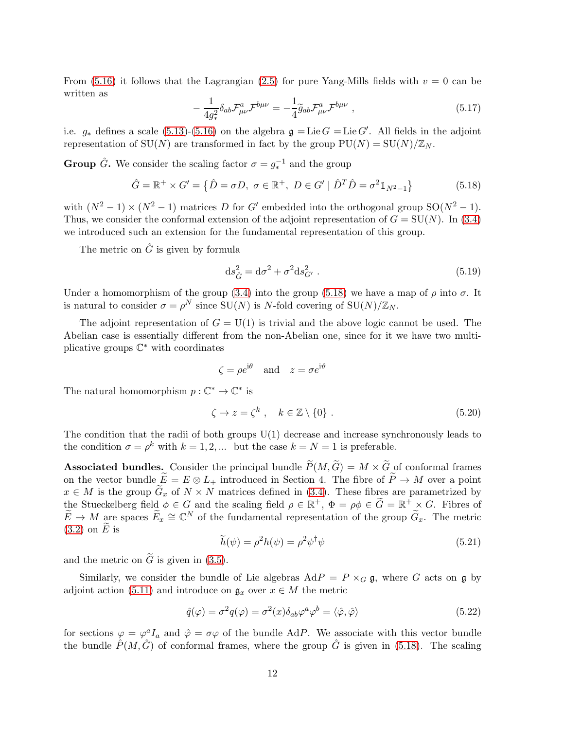From [\(5.16\)](#page-11-1) it follows that the Lagrangian [\(2.5\)](#page-2-0) for pure Yang-Mills fields with  $v = 0$  can be written as

$$
-\frac{1}{4g_*^2} \delta_{ab} \mathcal{F}^a_{\mu\nu} \mathcal{F}^{b\mu\nu} = -\frac{1}{4} \widetilde{g}_{ab} \mathcal{F}^a_{\mu\nu} \mathcal{F}^{b\mu\nu} , \qquad (5.17)
$$

i.e.  $g_*$  defines a scale [\(5.13\)](#page-11-2)-[\(5.16\)](#page-11-1) on the algebra  $\mathfrak{g} = \text{Lie } G = \text{Lie } G'$ . All fields in the adjoint representation of SU(N) are transformed in fact by the group  $PU(N) = SU(N)/\mathbb{Z}_N$ .

**Group**  $\hat{G}$ . We consider the scaling factor  $\sigma = g_*^{-1}$  and the group

<span id="page-12-0"></span>
$$
\hat{G} = \mathbb{R}^+ \times G' = \{ \hat{D} = \sigma D, \ \sigma \in \mathbb{R}^+, \ D \in G' \mid \hat{D}^T \hat{D} = \sigma^2 \mathbb{1}_{N^2 - 1} \}
$$
(5.18)

with  $(N^2 - 1) \times (N^2 - 1)$  matrices D for G' embedded into the orthogonal group SO( $N^2 - 1$ ). Thus, we consider the conformal extension of the adjoint representation of  $G = SU(N)$ . In [\(3.4\)](#page-5-5) we introduced such an extension for the fundamental representation of this group.

The metric on  $\hat{G}$  is given by formula

$$
\mathrm{d}s_{\hat{G}}^2 = \mathrm{d}\sigma^2 + \sigma^2 \mathrm{d}s_{G'}^2 \,. \tag{5.19}
$$

Under a homomorphism of the group [\(3.4\)](#page-5-5) into the group [\(5.18\)](#page-12-0) we have a map of  $\rho$  into  $\sigma$ . It is natural to consider  $\sigma = \rho^N$  since  $SU(N)$  is N-fold covering of  $SU(N)/\mathbb{Z}_N$ .

The adjoint representation of  $G = U(1)$  is trivial and the above logic cannot be used. The Abelian case is essentially different from the non-Abelian one, since for it we have two multiplicative groups  $\mathbb{C}^*$  with coordinates

$$
\zeta = \rho e^{i\theta}
$$
 and  $z = \sigma e^{i\vartheta}$ 

The natural homomorphism  $p: \mathbb{C}^* \to \mathbb{C}^*$  is

$$
\zeta \to z = \zeta^k \ , \quad k \in \mathbb{Z} \setminus \{0\} \ . \tag{5.20}
$$

The condition that the radii of both groups U(1) decrease and increase synchronously leads to the condition  $\sigma = \rho^k$  with  $k = 1, 2, ...$  but the case  $k = N = 1$  is preferable.

**Associated bundles.** Consider the principal bundle  $\widetilde{P}(M, \widetilde{G}) = M \times \widetilde{G}$  of conformal frames on the vector bundle  $\widetilde{E} = E \otimes L_+$  introduced in Section 4. The fibre of  $\widetilde{P} \to M$  over a point  $x \in M$  is the group  $\widetilde{G}_x$  of  $N \times N$  matrices defined in [\(3.4\)](#page-5-5). These fibres are parametrized by the Stueckelberg field  $\phi \in G$  and the scaling field  $\rho \in \mathbb{R}^+$ ,  $\Phi = \rho \phi \in \widetilde{G} = \mathbb{R}^+ \times G$ . Fibres of  $\widetilde{E} \to M$  are spaces  $\widetilde{E}_x \cong \mathbb{C}^N$  of the fundamental representation of the group  $\widetilde{G}_x$ . The metric  $(3.2)$  on E is

$$
\widetilde{h}(\psi) = \rho^2 h(\psi) = \rho^2 \psi^\dagger \psi \tag{5.21}
$$

and the metric on  $\tilde{G}$  is given in [\(3.5\)](#page-6-0).

Similarly, we consider the bundle of Lie algebras  $\text{Ad}P = P \times_G \mathfrak{g}$ , where G acts on g by adjoint action [\(5.11\)](#page-11-3) and introduce on  $\mathfrak{g}_x$  over  $x \in M$  the metric

$$
\hat{q}(\varphi) = \sigma^2 q(\varphi) = \sigma^2(x)\delta_{ab}\varphi^a\varphi^b = \langle \hat{\varphi}, \hat{\varphi} \rangle \tag{5.22}
$$

for sections  $\varphi = \varphi^a I_a$  and  $\hat{\varphi} = \sigma \varphi$  of the bundle AdP. We associate with this vector bundle the bundle  $\hat{P}(M, \hat{G})$  of conformal frames, where the group  $\hat{G}$  is given in [\(5.18\)](#page-12-0). The scaling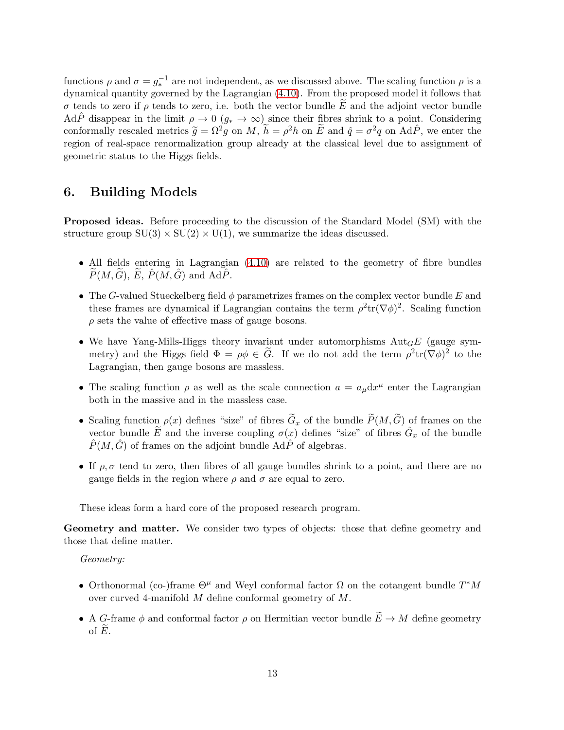functions  $\rho$  and  $\sigma = g_*^{-1}$  are not independent, as we discussed above. The scaling function  $\rho$  is a dynamical quantity governed by the Lagrangian [\(4.10\)](#page-9-2). From the proposed model it follows that σ tends to zero if  $ρ$  tends to zero, i.e. both the vector bundle  $E$  and the adjoint vector bundle AdP<sup> $\hat{P}$ </sup> disappear in the limit  $\rho \to 0$  ( $g_* \to \infty$ ) since their fibres shrink to a point. Considering conformally rescaled metrics  $\tilde{g} = \Omega^2 g$  on M,  $\tilde{h} = \rho^2 h$  on  $\tilde{E}$  and  $\hat{q} = \sigma^2 q$  on Ad $\hat{P}$ , we enter the region of real-space renormalization group already at the classical level due to assignment of geometric status to the Higgs fields.

## 6. Building Models

**Proposed ideas.** Before proceeding to the discussion of the Standard Model (SM) with the structure group  $SU(3) \times SU(2) \times U(1)$ , we summarize the ideas discussed.

- All fields entering in Lagrangian [\(4.10\)](#page-9-2) are related to the geometry of fibre bundles  $P(M, G), E, P(M, G)$  and AdP.
- The G-valued Stueckelberg field  $\phi$  parametrizes frames on the complex vector bundle E and these frames are dynamical if Lagrangian contains the term  $\rho^2 \text{tr}(\nabla \phi)^2$ . Scaling function  $\rho$  sets the value of effective mass of gauge bosons.
- We have Yang-Mills-Higgs theory invariant under automorphisms  $Aut<sub>GE</sub>$  (gauge symmetry) and the Higgs field  $\Phi = \rho \phi \in \tilde{G}$ . If we do not add the term  $\rho^2 \text{tr}(\nabla \phi)^2$  to the Lagrangian, then gauge bosons are massless.
- The scaling function  $\rho$  as well as the scale connection  $a = a_{\mu} dx^{\mu}$  enter the Lagrangian both in the massive and in the massless case.
- Scaling function  $\rho(x)$  defines "size" of fibres  $\tilde{G}_x$  of the bundle  $\tilde{P}(M,\tilde{G})$  of frames on the vector bundle  $\widetilde{E}$  and the inverse coupling  $\sigma(x)$  defines "size" of fibres  $\hat{G}_x$  of the bundle  $P(M, G)$  of frames on the adjoint bundle AdP of algebras.
- If  $\rho, \sigma$  tend to zero, then fibres of all gauge bundles shrink to a point, and there are no gauge fields in the region where  $\rho$  and  $\sigma$  are equal to zero.

These ideas form a hard core of the proposed research program.

Geometry and matter. We consider two types of objects: those that define geometry and those that define matter.

Geometry:

- Orthonormal (co-)frame  $\Theta^{\mu}$  and Weyl conformal factor  $\Omega$  on the cotangent bundle  $T^*M$ over curved 4-manifold M define conformal geometry of M.
- A G-frame  $\phi$  and conformal factor  $\rho$  on Hermitian vector bundle  $\widetilde{E} \to M$  define geometry of  $E$ .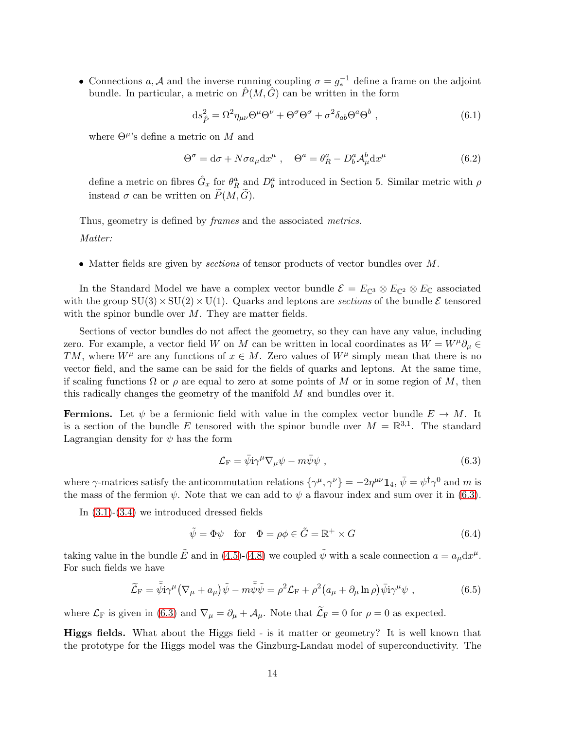• Connections a, A and the inverse running coupling  $\sigma = g_*^{-1}$  define a frame on the adjoint bundle. In particular, a metric on  $\hat{P}(M, \hat{G})$  can be written in the form

$$
ds_{\hat{P}}^2 = \Omega^2 \eta_{\mu\nu} \Theta^\mu \Theta^\nu + \Theta^\sigma \Theta^\sigma + \sigma^2 \delta_{ab} \Theta^a \Theta^b , \qquad (6.1)
$$

where  $\Theta^{\mu}$ 's define a metric on M and

$$
\Theta^{\sigma} = d\sigma + N\sigma a_{\mu} dx^{\mu} , \quad \Theta^{a} = \theta^{a}_{R} - D^{a}_{b} \mathcal{A}^{b}_{\mu} dx^{\mu}
$$
 (6.2)

define a metric on fibres  $\hat{G}_x$  for  $\theta_R^a$  and  $D_b^a$  introduced in Section 5. Similar metric with  $\rho$ instead  $\sigma$  can be written on  $\widetilde{P}(M,\widetilde{G})$ .

Thus, geometry is defined by *frames* and the associated *metrics*.

Matter:

• Matter fields are given by sections of tensor products of vector bundles over M.

In the Standard Model we have a complex vector bundle  $\mathcal{E} = E_{\mathbb{C}^3} \otimes E_{\mathbb{C}^2} \otimes E_{\mathbb{C}}$  associated with the group  $SU(3) \times SU(2) \times U(1)$ . Quarks and leptons are sections of the bundle  $\mathcal E$  tensored with the spinor bundle over  $M$ . They are matter fields.

Sections of vector bundles do not affect the geometry, so they can have any value, including zero. For example, a vector field W on M can be written in local coordinates as  $W = W^{\mu} \partial_{\mu} \in$ TM, where  $W^{\mu}$  are any functions of  $x \in M$ . Zero values of  $W^{\mu}$  simply mean that there is no vector field, and the same can be said for the fields of quarks and leptons. At the same time, if scaling functions  $\Omega$  or  $\rho$  are equal to zero at some points of M or in some region of M, then this radically changes the geometry of the manifold  $M$  and bundles over it.

**Fermions.** Let  $\psi$  be a fermionic field with value in the complex vector bundle  $E \to M$ . It is a section of the bundle E tensored with the spinor bundle over  $M = \mathbb{R}^{3,1}$ . The standard Lagrangian density for  $\psi$  has the form

<span id="page-14-0"></span>
$$
\mathcal{L}_{\mathcal{F}} = \bar{\psi} \mathrm{i} \gamma^{\mu} \nabla_{\mu} \psi - m \bar{\psi} \psi , \qquad (6.3)
$$

where  $\gamma$ -matrices satisfy the anticommutation relations  $\{\gamma^{\mu}, \gamma^{\nu}\} = -2\eta^{\mu\nu}\mathbb{1}_4$ ,  $\bar{\psi} = \psi^{\dagger}\gamma^0$  and m is the mass of the fermion  $\psi$ . Note that we can add to  $\psi$  a flavour index and sum over it in [\(6.3\)](#page-14-0).

In  $(3.1)-(3.4)$  $(3.1)-(3.4)$  we introduced dressed fields

$$
\tilde{\psi} = \Phi \psi \quad \text{for} \quad \Phi = \rho \phi \in \tilde{G} = \mathbb{R}^+ \times G \tag{6.4}
$$

taking value in the bundle  $\tilde{E}$  and in [\(4.5\)](#page-8-3)-[\(4.8\)](#page-9-5) we coupled  $\tilde{\psi}$  with a scale connection  $a = a_{\mu} dx^{\mu}$ . For such fields we have

<span id="page-14-1"></span>
$$
\widetilde{\mathcal{L}}_{\mathcal{F}} = \bar{\tilde{\psi}} i \gamma^{\mu} \left( \nabla_{\mu} + a_{\mu} \right) \tilde{\psi} - m \bar{\tilde{\psi}} \tilde{\psi} = \rho^2 \mathcal{L}_{\mathcal{F}} + \rho^2 \left( a_{\mu} + \partial_{\mu} \ln \rho \right) \bar{\psi} i \gamma^{\mu} \psi , \qquad (6.5)
$$

where  $\mathcal{L}_{\mathrm{F}}$  is given in [\(6.3\)](#page-14-0) and  $\nabla_{\mu} = \partial_{\mu} + \mathcal{A}_{\mu}$ . Note that  $\widetilde{\mathcal{L}}_{\mathrm{F}} = 0$  for  $\rho = 0$  as expected.

Higgs fields. What about the Higgs field - is it matter or geometry? It is well known that the prototype for the Higgs model was the Ginzburg-Landau model of superconductivity. The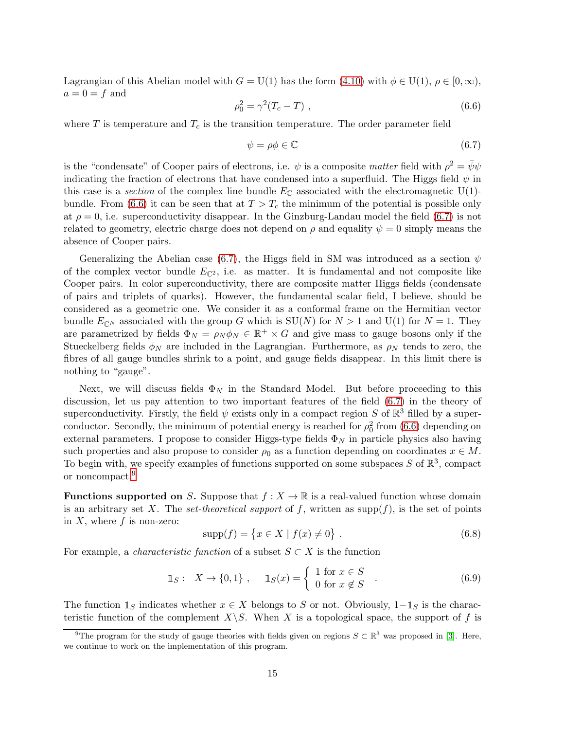Lagrangian of this Abelian model with  $G = U(1)$  has the form  $(4.10)$  with  $\phi \in U(1)$ ,  $\rho \in [0,\infty)$ ,  $a = 0 = f$  and

<span id="page-15-0"></span>
$$
\rho_0^2 = \gamma^2 (T_c - T) \tag{6.6}
$$

where T is temperature and  $T_c$  is the transition temperature. The order parameter field

<span id="page-15-1"></span>
$$
\psi = \rho \phi \in \mathbb{C} \tag{6.7}
$$

is the "condensate" of Cooper pairs of electrons, i.e.  $\psi$  is a composite matter field with  $\rho^2 = \bar{\psi}\psi$ indicating the fraction of electrons that have condensed into a superfluid. The Higgs field  $\psi$  in this case is a section of the complex line bundle  $E_{\mathbb{C}}$  associated with the electromagnetic U(1)-bundle. From [\(6.6\)](#page-15-0) it can be seen that at  $T > T_c$  the minimum of the potential is possible only at  $\rho = 0$ , i.e. superconductivity disappear. In the Ginzburg-Landau model the field [\(6.7\)](#page-15-1) is not related to geometry, electric charge does not depend on  $\rho$  and equality  $\psi = 0$  simply means the absence of Cooper pairs.

Generalizing the Abelian case [\(6.7\)](#page-15-1), the Higgs field in SM was introduced as a section  $\psi$ of the complex vector bundle  $E_{\mathbb{C}^2}$ , i.e. as matter. It is fundamental and not composite like Cooper pairs. In color superconductivity, there are composite matter Higgs fields (condensate of pairs and triplets of quarks). However, the fundamental scalar field, I believe, should be considered as a geometric one. We consider it as a conformal frame on the Hermitian vector bundle  $E_{\mathbb{C}^N}$  associated with the group G which is  $SU(N)$  for  $N > 1$  and  $U(1)$  for  $N = 1$ . They are parametrized by fields  $\Phi_N = \rho_N \phi_N \in \mathbb{R}^+ \times G$  and give mass to gauge bosons only if the Stueckelberg fields  $\phi_N$  are included in the Lagrangian. Furthermore, as  $\rho_N$  tends to zero, the fibres of all gauge bundles shrink to a point, and gauge fields disappear. In this limit there is nothing to "gauge".

Next, we will discuss fields  $\Phi_N$  in the Standard Model. But before proceeding to this discussion, let us pay attention to two important features of the field [\(6.7\)](#page-15-1) in the theory of superconductivity. Firstly, the field  $\psi$  exists only in a compact region S of  $\mathbb{R}^3$  filled by a superconductor. Secondly, the minimum of potential energy is reached for  $\rho_0^2$  from [\(6.6\)](#page-15-0) depending on external parameters. I propose to consider Higgs-type fields  $\Phi_N$  in particle physics also having such properties and also propose to consider  $\rho_0$  as a function depending on coordinates  $x \in M$ . To begin with, we specify examples of functions supported on some subspaces S of  $\mathbb{R}^3$ , compact or noncompact.<sup>[9](#page-15-2)</sup>

**Functions supported on S.** Suppose that  $f : X \to \mathbb{R}$  is a real-valued function whose domain is an arbitrary set X. The set-theoretical support of f, written as  $\text{supp}(f)$ , is the set of points in  $X$ , where  $f$  is non-zero:

$$
supp(f) = \{x \in X \mid f(x) \neq 0\}.
$$
\n(6.8)

For example, a *characteristic function* of a subset  $S \subset X$  is the function

<span id="page-15-3"></span>
$$
\mathbb{1}_S: \quad X \to \{0, 1\} \quad, \quad \mathbb{1}_S(x) = \left\{ \begin{array}{l} 1 \text{ for } x \in S \\ 0 \text{ for } x \notin S \end{array} \right. \tag{6.9}
$$

The function  $\mathbb{1}_S$  indicates whether  $x \in X$  belongs to S or not. Obviously,  $1-\mathbb{1}_S$  is the characteristic function of the complement  $X\backslash S$ . When X is a topological space, the support of f is

<span id="page-15-2"></span><sup>&</sup>lt;sup>9</sup>The program for the study of gauge theories with fields given on regions  $S \subset \mathbb{R}^3$  was proposed in [\[3\]](#page-21-2). Here, we continue to work on the implementation of this program.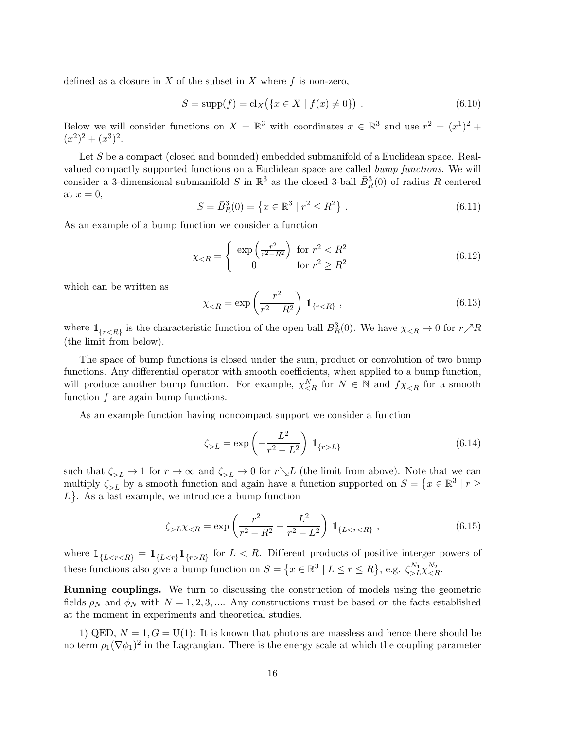defined as a closure in  $X$  of the subset in  $X$  where  $f$  is non-zero,

$$
S = \text{supp}(f) = \text{cl}_X(\{x \in X \mid f(x) \neq 0\})\ .
$$
 (6.10)

Below we will consider functions on  $X = \mathbb{R}^3$  with coordinates  $x \in \mathbb{R}^3$  and use  $r^2 = (x^1)^2 +$  $(x^2)^2 + (x^3)^2$ .

Let S be a compact (closed and bounded) embedded submanifold of a Euclidean space. Realvalued compactly supported functions on a Euclidean space are called bump functions. We will consider a 3-dimensional submanifold S in  $\mathbb{R}^3$  as the closed 3-ball  $\bar{B}_R^3(0)$  of radius R centered at  $x = 0$ ,

<span id="page-16-1"></span>
$$
S = \bar{B}_R^3(0) = \left\{ x \in \mathbb{R}^3 \mid r^2 \le R^2 \right\}.
$$
 (6.11)

As an example of a bump function we consider a function

<span id="page-16-2"></span>
$$
\chi_{\leq R} = \begin{cases} \exp\left(\frac{r^2}{r^2 - R^2}\right) & \text{for } r^2 < R^2\\ 0 & \text{for } r^2 \geq R^2 \end{cases} \tag{6.12}
$$

which can be written as

$$
\chi_{\leq R} = \exp\left(\frac{r^2}{r^2 - R^2}\right) \mathbb{1}_{\{r \leq R\}},\tag{6.13}
$$

where  $\mathbb{1}_{\{r < R\}}$  is the characteristic function of the open ball  $B_R^3(0)$ . We have  $\chi_{\leq R} \to 0$  for  $r \nearrow R$ (the limit from below).

The space of bump functions is closed under the sum, product or convolution of two bump functions. Any differential operator with smooth coefficients, when applied to a bump function, will produce another bump function. For example,  $\chi_{\leq R}^{N}$  for  $N \in \mathbb{N}$  and  $f \chi_{\leq R}$  for a smooth function  $f$  are again bump functions.

As an example function having noncompact support we consider a function

<span id="page-16-0"></span>
$$
\zeta_{>L} = \exp\left(-\frac{L^2}{r^2 - L^2}\right) \mathbb{1}_{\{r > L\}}\tag{6.14}
$$

such that  $\zeta_{>L} \to 1$  for  $r \to \infty$  and  $\zeta_{>L} \to 0$  for  $r \searrow L$  (the limit from above). Note that we can multiply  $\zeta_{>L}$  by a smooth function and again have a function supported on  $S = \{x \in \mathbb{R}^3 \mid r \geq 1\}$  $L$ . As a last example, we introduce a bump function

$$
\zeta_{>L}\chi_{
$$

where  $\mathbb{1}_{\{L < r < R\}} = \mathbb{1}_{\{L < r\}} \mathbb{1}_{\{r > R\}}$  for  $L < R$ . Different products of positive interger powers of these functions also give a bump function on  $S = \{x \in \mathbb{R}^3 \mid L \le r \le R\}$ , e.g.  $\zeta_{>L}^{N_1} \chi_{\le R}^{N_2}$ .

Running couplings. We turn to discussing the construction of models using the geometric fields  $\rho_N$  and  $\phi_N$  with  $N = 1, 2, 3, \dots$ . Any constructions must be based on the facts established at the moment in experiments and theoretical studies.

1) QED,  $N = 1, G = U(1)$ : It is known that photons are massless and hence there should be no term  $\rho_1(\nabla\phi_1)^2$  in the Lagrangian. There is the energy scale at which the coupling parameter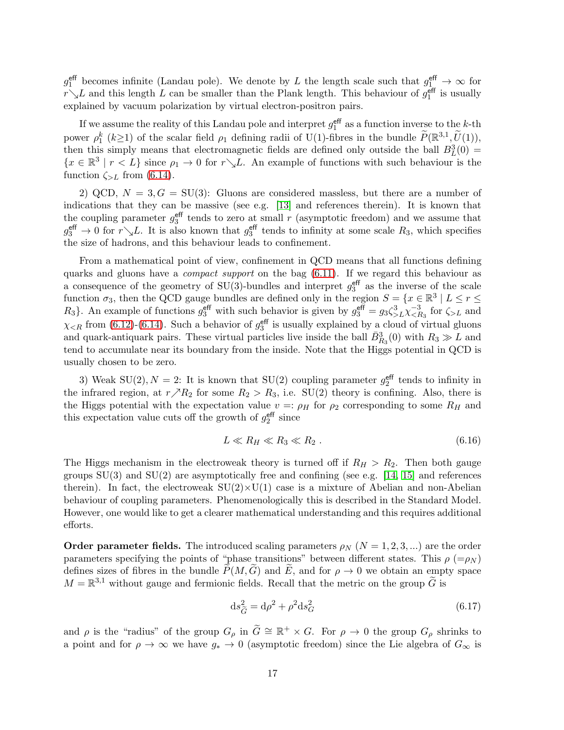$g_1^{\text{eff}}$  becomes infinite (Landau pole). We denote by L the length scale such that  $g_1^{\text{eff}} \to \infty$  for  $r\searrow L$  and this length L can be smaller than the Plank length. This behaviour of  $g_1^{\text{eff}}$  is usually explained by vacuum polarization by virtual electron-positron pairs.

If we assume the reality of this Landau pole and interpret  $g_1^{\text{eff}}$  as a function inverse to the k-th power  $\rho_1^k$  ( $k \ge 1$ ) of the scalar field  $\rho_1$  defining radii of U(1)-fibres in the bundle  $\widetilde{P}(\mathbb{R}^{3,1}, \widetilde{U}(1)),$ then this simply means that electromagnetic fields are defined only outside the ball  $B<sub>L</sub><sup>3</sup>(0)$  =  $\{x \in \mathbb{R}^3 \mid r < L\}$  since  $\rho_1 \to 0$  for  $r \searrow L$ . An example of functions with such behaviour is the function  $\zeta_{\geq L}$  from [\(6.14\)](#page-16-0).

2) QCD,  $N = 3, G = SU(3)$ : Gluons are considered massless, but there are a number of indications that they can be massive (see e.g. [\[13\]](#page-21-12) and references therein). It is known that the coupling parameter  $g_3^{\text{eff}}$  tends to zero at small r (asymptotic freedom) and we assume that  $g_3^{\text{eff}} \to 0$  for  $r \searrow L$ . It is also known that  $g_3^{\text{eff}}$  tends to infinity at some scale  $R_3$ , which specifies the size of hadrons, and this behaviour leads to confinement.

From a mathematical point of view, confinement in QCD means that all functions defining quarks and gluons have a *compact support* on the bag  $(6.11)$ . If we regard this behaviour as a consequence of the geometry of  $SU(3)$ -bundles and interpret  $g_3^{\text{eff}}$  as the inverse of the scale function  $\sigma_3$ , then the QCD gauge bundles are defined only in the region  $S = \{x \in \mathbb{R}^3 \mid L \le r \le$  $R_3$ . An example of functions  $g_3^{\text{eff}}$  with such behavior is given by  $g_3^{\text{eff}} = g_3 \zeta_{>L}^3 \zeta_{\leq L}^{-3}$  $\zeta_{R_3}^{-3}$  for  $\zeta_{>L}$  and  $\chi_{\leq R}$  from [\(6.12\)](#page-16-2)-[\(6.14\)](#page-16-0). Such a behavior of  $g_3^{\text{eff}}$  is usually explained by a cloud of virtual gluons and quark-antiquark pairs. These virtual particles live inside the ball  $\bar{B}_{R_3}^3(0)$  with  $R_3 \gg L$  and tend to accumulate near its boundary from the inside. Note that the Higgs potential in QCD is usually chosen to be zero.

3) Weak SU(2),  $N = 2$ : It is known that SU(2) coupling parameter  $g_2^{\text{eff}}$  tends to infinity in the infrared region, at  $r\nearrow R_2$  for some  $R_2 > R_3$ , i.e. SU(2) theory is confining. Also, there is the Higgs potential with the expectation value  $v =: \rho_H$  for  $\rho_2$  corresponding to some  $R_H$  and this expectation value cuts off the growth of  $g_2^{\text{eff}}$  since

<span id="page-17-0"></span>
$$
L \ll R_H \ll R_3 \ll R_2 \ . \tag{6.16}
$$

The Higgs mechanism in the electroweak theory is turned off if  $R_H > R_2$ . Then both gauge groups  $SU(3)$  and  $SU(2)$  are asymptotically free and confining (see e.g. [\[14,](#page-21-13) [15\]](#page-21-14) and references therein). In fact, the electroweak  $SU(2)\times U(1)$  case is a mixture of Abelian and non-Abelian behaviour of coupling parameters. Phenomenologically this is described in the Standard Model. However, one would like to get a clearer mathematical understanding and this requires additional efforts.

**Order parameter fields.** The introduced scaling parameters  $\rho_N$  ( $N = 1, 2, 3, ...$ ) are the order parameters specifying the points of "phase transitions" between different states. This  $\rho$  (= $\rho_N$ ) defines sizes of fibres in the bundle  $P(M, G)$  and  $E$ , and for  $\rho \to 0$  we obtain an empty space  $M = \mathbb{R}^{3,1}$  without gauge and fermionic fields. Recall that the metric on the group  $\widetilde{G}$  is

$$
\mathrm{d}s_{\widetilde{G}}^2 = \mathrm{d}\rho^2 + \rho^2 \mathrm{d}s_G^2\tag{6.17}
$$

and  $\rho$  is the "radius" of the group  $G_{\rho}$  in  $\tilde{G} \cong \mathbb{R}^+ \times G$ . For  $\rho \to 0$  the group  $G_{\rho}$  shrinks to a point and for  $\rho \to \infty$  we have  $g_* \to 0$  (asymptotic freedom) since the Lie algebra of  $G_{\infty}$  is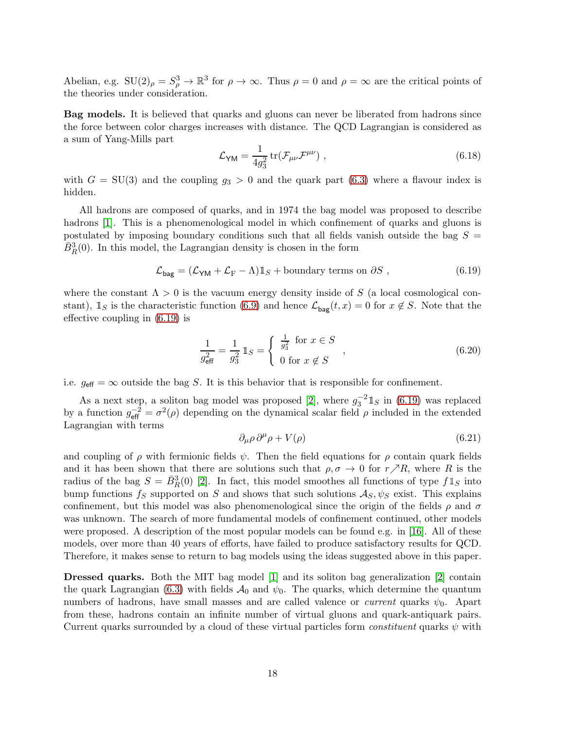Abelian, e.g.  $SU(2)_{\rho} = S_{\rho}^3 \to \mathbb{R}^3$  for  $\rho \to \infty$ . Thus  $\rho = 0$  and  $\rho = \infty$  are the critical points of the theories under consideration.

Bag models. It is believed that quarks and gluons can never be liberated from hadrons since the force between color charges increases with distance. The QCD Lagrangian is considered as a sum of Yang-Mills part

$$
\mathcal{L}_{\mathsf{YM}} = \frac{1}{4g_3^2} \operatorname{tr}(\mathcal{F}_{\mu\nu} \mathcal{F}^{\mu\nu}) \;, \tag{6.18}
$$

with  $G = SU(3)$  and the coupling  $g_3 > 0$  and the quark part [\(6.3\)](#page-14-0) where a flavour index is hidden.

All hadrons are composed of quarks, and in 1974 the bag model was proposed to describe hadrons [\[1\]](#page-21-0). This is a phenomenological model in which confinement of quarks and gluons is postulated by imposing boundary conditions such that all fields vanish outside the bag  $S =$  $\bar{B}_R^3(0)$ . In this model, the Lagrangian density is chosen in the form

<span id="page-18-0"></span>
$$
\mathcal{L}_{\text{bag}} = (\mathcal{L}_{\text{YM}} + \mathcal{L}_{\text{F}} - \Lambda) \mathbb{1}_S + \text{boundary terms on } \partial S , \qquad (6.19)
$$

where the constant  $\Lambda > 0$  is the vacuum energy density inside of S (a local cosmological constant),  $\mathbb{1}_S$  is the characteristic function [\(6.9\)](#page-15-3) and hence  $\mathcal{L}_{\text{bag}}(t,x) = 0$  for  $x \notin S$ . Note that the effective coupling in [\(6.19\)](#page-18-0) is

$$
\frac{1}{g_{\text{eff}}^2} = \frac{1}{g_3^2} 1\!\!1_S = \begin{cases} \frac{1}{g_3^2} \text{ for } x \in S \\ 0 \text{ for } x \notin S \end{cases} , \tag{6.20}
$$

i.e.  $g_{\text{eff}} = \infty$  outside the bag S. It is this behavior that is responsible for confinement.

As a next step, a soliton bag model was proposed [\[2\]](#page-21-1), where  $g_3^{-2} \mathbb{1}_S$  in [\(6.19\)](#page-18-0) was replaced by a function  $g_{\text{eff}}^{-2} = \sigma^2(\rho)$  depending on the dynamical scalar field  $\rho$  included in the extended Lagrangian with terms

$$
\partial_{\mu}\rho \,\partial^{\mu}\rho + V(\rho) \tag{6.21}
$$

and coupling of  $\rho$  with fermionic fields  $\psi$ . Then the field equations for  $\rho$  contain quark fields and it has been shown that there are solutions such that  $\rho, \sigma \to 0$  for  $r \nearrow R$ , where R is the radius of the bag  $S = \bar{B}_R^3(0)$  [\[2\]](#page-21-1). In fact, this model smoothes all functions of type  $f1_S$  into bump functions  $f_S$  supported on S and shows that such solutions  $\mathcal{A}_S, \psi_S$  exist. This explains confinement, but this model was also phenomenological since the origin of the fields  $\rho$  and  $\sigma$ was unknown. The search of more fundamental models of confinement continued, other models were proposed. A description of the most popular models can be found e.g. in [\[16\]](#page-21-15). All of these models, over more than 40 years of efforts, have failed to produce satisfactory results for QCD. Therefore, it makes sense to return to bag models using the ideas suggested above in this paper.

Dressed quarks. Both the MIT bag model [\[1\]](#page-21-0) and its soliton bag generalization [\[2\]](#page-21-1) contain the quark Lagrangian [\(6.3\)](#page-14-0) with fields  $\mathcal{A}_0$  and  $\psi_0$ . The quarks, which determine the quantum numbers of hadrons, have small masses and are called valence or *current* quarks  $\psi_0$ . Apart from these, hadrons contain an infinite number of virtual gluons and quark-antiquark pairs. Current quarks surrounded by a cloud of these virtual particles form *constituent* quarks  $\psi$  with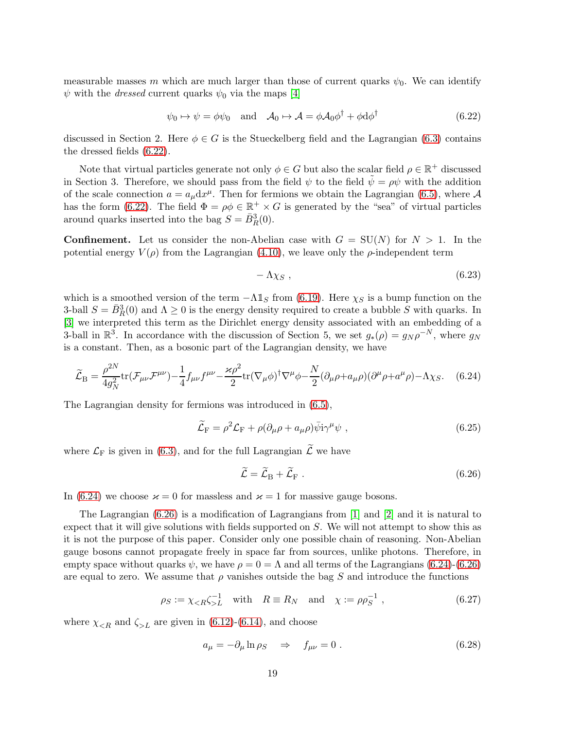measurable masses m which are much larger than those of current quarks  $\psi_0$ . We can identify  $\psi$  with the *dressed* current quarks  $\psi_0$  via the maps [\[4\]](#page-21-7)

<span id="page-19-0"></span>
$$
\psi_0 \mapsto \psi = \phi \psi_0 \quad \text{and} \quad \mathcal{A}_0 \mapsto \mathcal{A} = \phi \mathcal{A}_0 \phi^\dagger + \phi \mathrm{d} \phi^\dagger \tag{6.22}
$$

discussed in Section 2. Here  $\phi \in G$  is the Stueckelberg field and the Lagrangian [\(6.3\)](#page-14-0) contains the dressed fields [\(6.22\)](#page-19-0).

Note that virtual particles generate not only  $\phi \in G$  but also the scalar field  $\rho \in \mathbb{R}^+$  discussed in Section 3. Therefore, we should pass from the field  $\psi$  to the field  $\tilde{\psi} = \rho \psi$  with the addition of the scale connection  $a = a_{\mu} dx^{\mu}$ . Then for fermions we obtain the Lagrangian [\(6.5\)](#page-14-1), where A has the form [\(6.22\)](#page-19-0). The field  $\Phi = \rho \phi \in \mathbb{R}^+ \times G$  is generated by the "sea" of virtual particles around quarks inserted into the bag  $S = \bar{B}_R^3(0)$ .

**Confinement.** Let us consider the non-Abelian case with  $G = SU(N)$  for  $N > 1$ . In the potential energy  $V(\rho)$  from the Lagrangian [\(4.10\)](#page-9-2), we leave only the  $\rho$ -independent term

$$
-\Lambda \chi_S \; , \qquad \qquad (6.23)
$$

which is a smoothed version of the term  $-\Lambda \mathbb{1}_S$  from [\(6.19\)](#page-18-0). Here  $\chi_S$  is a bump function on the 3-ball  $S = \bar{B}_R^3(0)$  and  $\Lambda \geq 0$  is the energy density required to create a bubble S with quarks. In [\[3\]](#page-21-2) we interpreted this term as the Dirichlet energy density associated with an embedding of a 3-ball in  $\mathbb{R}^3$ . In accordance with the discussion of Section 5, we set  $g_*(\rho) = g_N \rho^{-N}$ , where  $g_N$ is a constant. Then, as a bosonic part of the Lagrangian density, we have

<span id="page-19-1"></span>
$$
\widetilde{\mathcal{L}}_{\rm B} = \frac{\rho^{2N}}{4g_N^2} \text{tr}(\mathcal{F}_{\mu\nu}\mathcal{F}^{\mu\nu}) - \frac{1}{4}f_{\mu\nu}f^{\mu\nu} - \frac{\varkappa \rho^2}{2} \text{tr}(\nabla_\mu \phi)^\dagger \nabla^\mu \phi - \frac{N}{2}(\partial_\mu \rho + a_\mu \rho)(\partial^\mu \rho + a^\mu \rho) - \Lambda \chi_S. \tag{6.24}
$$

The Lagrangian density for fermions was introduced in [\(6.5\)](#page-14-1),

$$
\widetilde{\mathcal{L}}_{\rm F} = \rho^2 \mathcal{L}_{\rm F} + \rho (\partial_\mu \rho + a_\mu \rho) \bar{\psi} i \gamma^\mu \psi \;, \tag{6.25}
$$

where  $\mathcal{L}_{\mathrm{F}}$  is given in [\(6.3\)](#page-14-0), and for the full Lagrangian  $\widetilde{\mathcal{L}}$  we have

<span id="page-19-2"></span>
$$
\widetilde{\mathcal{L}} = \widetilde{\mathcal{L}}_{\text{B}} + \widetilde{\mathcal{L}}_{\text{F}} \ . \tag{6.26}
$$

In [\(6.24\)](#page-19-1) we choose  $\varkappa = 0$  for massless and  $\varkappa = 1$  for massive gauge bosons.

The Lagrangian [\(6.26\)](#page-19-2) is a modification of Lagrangians from [\[1\]](#page-21-0) and [\[2\]](#page-21-1) and it is natural to expect that it will give solutions with fields supported on  $S$ . We will not attempt to show this as it is not the purpose of this paper. Consider only one possible chain of reasoning. Non-Abelian gauge bosons cannot propagate freely in space far from sources, unlike photons. Therefore, in empty space without quarks  $\psi$ , we have  $\rho = 0 = \Lambda$  and all terms of the Lagrangians [\(6.24\)](#page-19-1)-[\(6.26\)](#page-19-2) are equal to zero. We assume that  $\rho$  vanishes outside the bag S and introduce the functions

<span id="page-19-3"></span>
$$
\rho_S := \chi_{\langle R \rangle L}^{-1} \quad \text{with} \quad R \equiv R_N \quad \text{and} \quad \chi := \rho \rho_S^{-1} \;, \tag{6.27}
$$

where  $\chi_{\leq R}$  and  $\zeta_{\geq L}$  are given in [\(6.12\)](#page-16-2)-[\(6.14\)](#page-16-0), and choose

$$
a_{\mu} = -\partial_{\mu} \ln \rho_S \quad \Rightarrow \quad f_{\mu\nu} = 0 \tag{6.28}
$$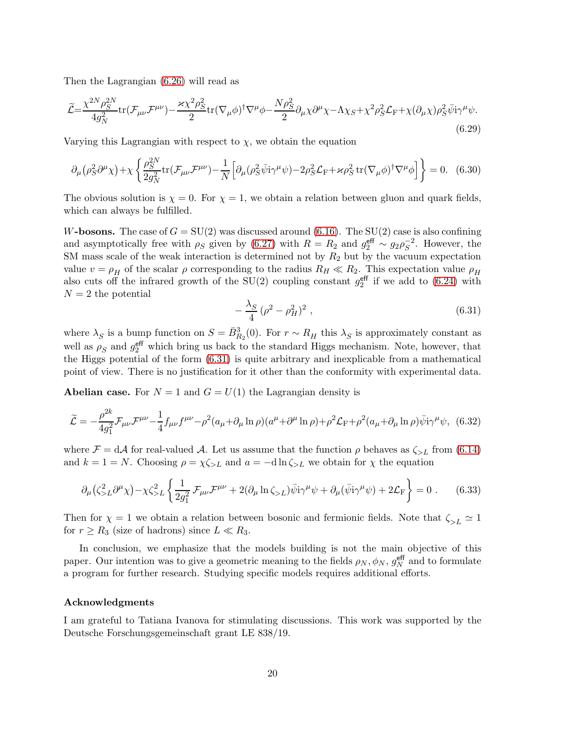Then the Lagrangian [\(6.26\)](#page-19-2) will read as

$$
\widetilde{\mathcal{L}} = \frac{\chi^{2N} \rho_S^{2N}}{4g_N^2} \text{tr}(\mathcal{F}_{\mu\nu}\mathcal{F}^{\mu\nu}) - \frac{\varkappa \chi^2 \rho_S^2}{2} \text{tr}(\nabla_\mu \phi)^\dagger \nabla^\mu \phi - \frac{N \rho_S^2}{2} \partial_\mu \chi \partial^\mu \chi - \Lambda \chi_S + \chi^2 \rho_S^2 \mathcal{L}_F + \chi (\partial_\mu \chi) \rho_S^2 \bar{\psi} \text{i} \gamma^\mu \psi. \tag{6.29}
$$

Varying this Lagrangian with respect to  $\chi$ , we obtain the equation

$$
\partial_{\mu}(\rho_S^2 \partial^{\mu} \chi) + \chi \left\{ \frac{\rho_S^{2N}}{2g_N^2} \text{tr}(\mathcal{F}_{\mu\nu} \mathcal{F}^{\mu\nu}) - \frac{1}{N} \left[ \partial_{\mu}(\rho_S^2 \bar{\psi} i \gamma^{\mu} \psi) - 2\rho_S^2 \mathcal{L}_{\text{F}} + \varkappa \rho_S^2 \text{tr}(\nabla_{\mu} \phi)^{\dagger} \nabla^{\mu} \phi \right] \right\} = 0. \quad (6.30)
$$

The obvious solution is  $\chi = 0$ . For  $\chi = 1$ , we obtain a relation between gluon and quark fields, which can always be fulfilled.

W-bosons. The case of  $G = SU(2)$  was discussed around [\(6.16\)](#page-17-0). The  $SU(2)$  case is also confining and asymptotically free with  $\rho_S$  given by [\(6.27\)](#page-19-3) with  $R = R_2$  and  $g_2^{\text{eff}} \sim g_2 \rho_S^{-2}$  $S^2$ . However, the SM mass scale of the weak interaction is determined not by  $R_2$  but by the vacuum expectation value  $v = \rho_H$  of the scalar  $\rho$  corresponding to the radius  $R_H \ll R_2$ . This expectation value  $\rho_H$ also cuts off the infrared growth of the  $SU(2)$  coupling constant  $g_2^{\text{eff}}$  if we add to [\(6.24\)](#page-19-1) with  $N = 2$  the potential

<span id="page-20-0"></span>
$$
-\frac{\lambda_S}{4}(\rho^2 - \rho_H^2)^2 \,,\tag{6.31}
$$

where  $\lambda_S$  is a bump function on  $S = \bar{B}_{R_2}^3(0)$ . For  $r \sim R_H$  this  $\lambda_S$  is approximately constant as well as  $\rho_S$  and  $g_2^{\text{eff}}$  which bring us back to the standard Higgs mechanism. Note, however, that the Higgs potential of the form [\(6.31\)](#page-20-0) is quite arbitrary and inexplicable from a mathematical point of view. There is no justification for it other than the conformity with experimental data.

**Abelian case.** For  $N = 1$  and  $G = U(1)$  the Lagrangian density is

$$
\widetilde{\mathcal{L}} = -\frac{\rho^{2k}}{4g_1^2} \mathcal{F}_{\mu\nu} \mathcal{F}^{\mu\nu} - \frac{1}{4} f_{\mu\nu} f^{\mu\nu} - \rho^2 (a_\mu + \partial_\mu \ln \rho)(a^\mu + \partial^\mu \ln \rho) + \rho^2 \mathcal{L}_{\rm F} + \rho^2 (a_\mu + \partial_\mu \ln \rho) \bar{\psi} i \gamma^\mu \psi, \tag{6.32}
$$

where  $\mathcal{F} = d\mathcal{A}$  for real-valued  $\mathcal{A}$ . Let us assume that the function  $\rho$  behaves as  $\zeta_{>L}$  from [\(6.14\)](#page-16-0) and  $k = 1 = N$ . Choosing  $\rho = \chi \zeta > L$  and  $a = -d \ln \zeta > L$  we obtain for  $\chi$  the equation

$$
\partial_{\mu} (\zeta_{>L}^2 \partial^{\mu} \chi) - \chi \zeta_{>L}^2 \left\{ \frac{1}{2g_1^2} \mathcal{F}_{\mu\nu} \mathcal{F}^{\mu\nu} + 2(\partial_{\mu} \ln \zeta_{>L}) \bar{\psi} i \gamma^{\mu} \psi + \partial_{\mu} (\bar{\psi} i \gamma^{\mu} \psi) + 2\mathcal{L}_{\mathcal{F}} \right\} = 0 \ . \tag{6.33}
$$

Then for  $\chi = 1$  we obtain a relation between bosonic and fermionic fields. Note that  $\zeta_{>L} \simeq 1$ for  $r \geq R_3$  (size of hadrons) since  $L \ll R_3$ .

In conclusion, we emphasize that the models building is not the main objective of this paper. Our intention was to give a geometric meaning to the fields  $\rho_N$ ,  $\phi_N$ ,  $g_N^{\text{eff}}$  and to formulate a program for further research. Studying specific models requires additional efforts.

#### Acknowledgments

I am grateful to Tatiana Ivanova for stimulating discussions. This work was supported by the Deutsche Forschungsgemeinschaft grant LE 838/19.